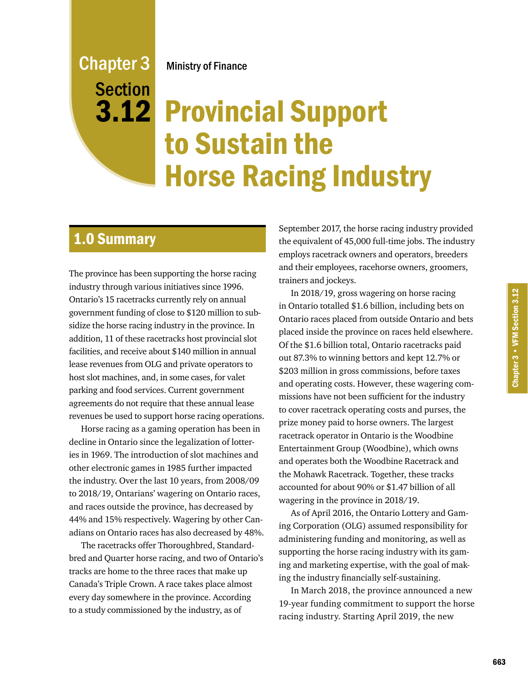### **3.12 Provincial Support** to Sustain the Horse Racing Industry **Section**

### 1.0 Summary

Chapter 3

The province has been supporting the horse racing industry through various initiatives since 1996. Ontario's 15 racetracks currently rely on annual government funding of close to \$120 million to subsidize the horse racing industry in the province. In addition, 11 of these racetracks host provincial slot facilities, and receive about \$140 million in annual lease revenues from OLG and private operators to host slot machines, and, in some cases, for valet parking and food services. Current government agreements do not require that these annual lease revenues be used to support horse racing operations.

Horse racing as a gaming operation has been in decline in Ontario since the legalization of lotteries in 1969. The introduction of slot machines and other electronic games in 1985 further impacted the industry. Over the last 10 years, from 2008/09 to 2018/19, Ontarians' wagering on Ontario races, and races outside the province, has decreased by 44% and 15% respectively. Wagering by other Canadians on Ontario races has also decreased by 48%.

The racetracks offer Thoroughbred, Standardbred and Quarter horse racing, and two of Ontario's tracks are home to the three races that make up Canada's Triple Crown. A race takes place almost every day somewhere in the province. According to a study commissioned by the industry, as of

September 2017, the horse racing industry provided the equivalent of 45,000 full-time jobs. The industry employs racetrack owners and operators, breeders and their employees, racehorse owners, groomers, trainers and jockeys.

In 2018/19, gross wagering on horse racing in Ontario totalled \$1.6 billion, including bets on Ontario races placed from outside Ontario and bets placed inside the province on races held elsewhere. Of the \$1.6 billion total, Ontario racetracks paid out 87.3% to winning bettors and kept 12.7% or \$203 million in gross commissions, before taxes and operating costs. However, these wagering commissions have not been sufficient for the industry to cover racetrack operating costs and purses, the prize money paid to horse owners. The largest racetrack operator in Ontario is the Woodbine Entertainment Group (Woodbine), which owns and operates both the Woodbine Racetrack and the Mohawk Racetrack. Together, these tracks accounted for about 90% or \$1.47 billion of all wagering in the province in 2018/19.

As of April 2016, the Ontario Lottery and Gaming Corporation (OLG) assumed responsibility for administering funding and monitoring, as well as supporting the horse racing industry with its gaming and marketing expertise, with the goal of making the industry financially self-sustaining.

In March 2018, the province announced a new 19-year funding commitment to support the horse racing industry. Starting April 2019, the new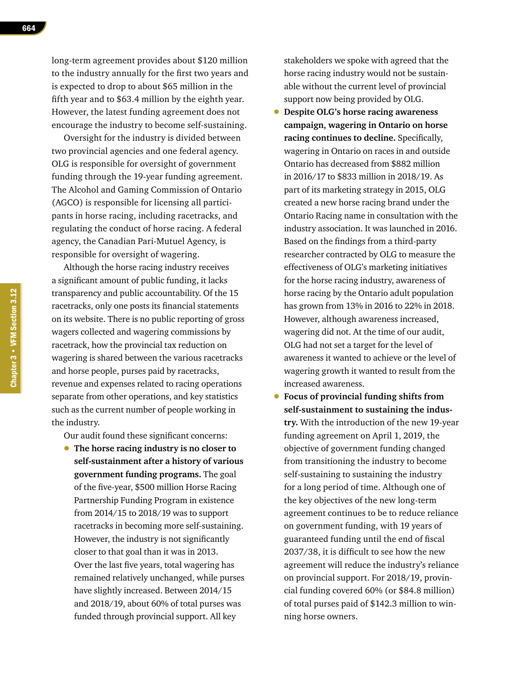long-term agreement provides about \$120 million to the industry annually for the first two years and is expected to drop to about \$65 million in the fifth year and to \$63.4 million by the eighth year. However, the latest funding agreement does not encourage the industry to become self-sustaining.

Oversight for the industry is divided between two provincial agencies and one federal agency. OLG is responsible for oversight of government funding through the 19-year funding agreement. The Alcohol and Gaming Commission of Ontario (AGCO) is responsible for licensing all participants in horse racing, including racetracks, and regulating the conduct of horse racing. A federal agency, the Canadian Pari-Mutuel Agency, is responsible for oversight of wagering.

Although the horse racing industry receives a significant amount of public funding, it lacks transparency and public accountability. Of the 15 racetracks, only one posts its financial statements on its website. There is no public reporting of gross wagers collected and wagering commissions by racetrack, how the provincial tax reduction on wagering is shared between the various racetracks and horse people, purses paid by racetracks, revenue and expenses related to racing operations separate from other operations, and key statistics such as the current number of people working in the industry.

Our audit found these significant concerns:

• **The horse racing industry is no closer to self-sustainment after a history of various government funding programs.** The goal of the five-year, \$500 million Horse Racing Partnership Funding Program in existence from 2014/15 to 2018/19 was to support racetracks in becoming more self-sustaining. However, the industry is not significantly closer to that goal than it was in 2013. Over the last five years, total wagering has remained relatively unchanged, while purses have slightly increased. Between 2014/15 and 2018/19, about 60% of total purses was funded through provincial support. All key

stakeholders we spoke with agreed that the horse racing industry would not be sustainable without the current level of provincial support now being provided by OLG.

- **Despite OLG's horse racing awareness campaign, wagering in Ontario on horse racing continues to decline.** Specifically, wagering in Ontario on races in and outside Ontario has decreased from \$882 million in 2016/17 to \$833 million in 2018/19. As part of its marketing strategy in 2015, OLG created a new horse racing brand under the Ontario Racing name in consultation with the industry association. It was launched in 2016. Based on the findings from a third-party researcher contracted by OLG to measure the effectiveness of OLG's marketing initiatives for the horse racing industry, awareness of horse racing by the Ontario adult population has grown from 13% in 2016 to 22% in 2018. However, although awareness increased, wagering did not. At the time of our audit, OLG had not set a target for the level of awareness it wanted to achieve or the level of wagering growth it wanted to result from the increased awareness.
- **Focus of provincial funding shifts from self-sustainment to sustaining the industry.** With the introduction of the new 19-year funding agreement on April 1, 2019, the objective of government funding changed from transitioning the industry to become self-sustaining to sustaining the industry for a long period of time. Although one of the key objectives of the new long-term agreement continues to be to reduce reliance on government funding, with 19 years of guaranteed funding until the end of fiscal 2037/38, it is difficult to see how the new agreement will reduce the industry's reliance on provincial support. For 2018/19, provincial funding covered 60% (or \$84.8 million) of total purses paid of \$142.3 million to winning horse owners.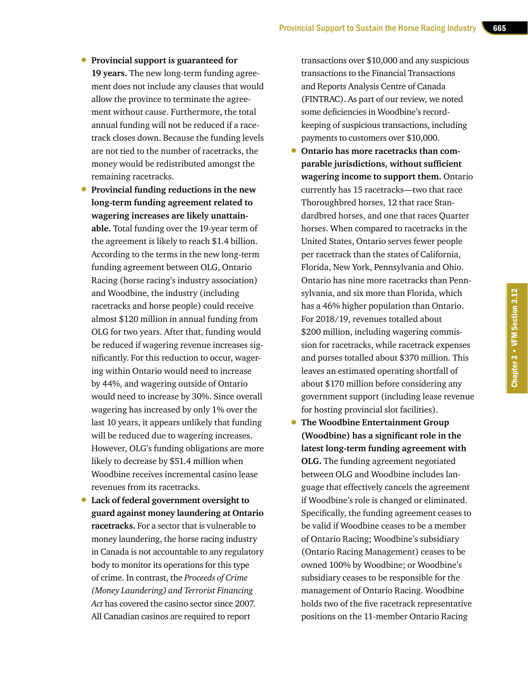- **Provincial support is guaranteed for 19 years.** The new long-term funding agreement does not include any clauses that would allow the province to terminate the agreement without cause. Furthermore, the total annual funding will not be reduced if a racetrack closes down. Because the funding levels are not tied to the number of racetracks, the money would be redistributed amongst the remaining racetracks.
- **Provincial funding reductions in the new long-term funding agreement related to wagering increases are likely unattainable.** Total funding over the 19-year term of the agreement is likely to reach \$1.4 billion. According to the terms in the new long-term funding agreement between OLG, Ontario Racing (horse racing's industry association) and Woodbine, the industry (including racetracks and horse people) could receive almost \$120 million in annual funding from OLG for two years. After that, funding would be reduced if wagering revenue increases significantly. For this reduction to occur, wagering within Ontario would need to increase by 44%, and wagering outside of Ontario would need to increase by 30%. Since overall wagering has increased by only 1% over the last 10 years, it appears unlikely that funding will be reduced due to wagering increases. However, OLG's funding obligations are more likely to decrease by \$51.4 million when Woodbine receives incremental casino lease revenues from its racetracks.
- **Lack of federal government oversight to guard against money laundering at Ontario racetracks.** For a sector that is vulnerable to money laundering, the horse racing industry in Canada is not accountable to any regulatory body to monitor its operations for this type of crime. In contrast, the *Proceeds of Crime (Money Laundering) and Terrorist Financing Act* has covered the casino sector since 2007. All Canadian casinos are required to report

transactions over \$10,000 and any suspicious transactions to the Financial Transactions and Reports Analysis Centre of Canada (FINTRAC). As part of our review, we noted some deficiencies in Woodbine's recordkeeping of suspicious transactions, including payments to customers over \$10,000.

- **Ontario has more racetracks than comparable jurisdictions, without sufficient wagering income to support them.** Ontario currently has 15 racetracks—two that race Thoroughbred horses, 12 that race Standardbred horses, and one that races Quarter horses. When compared to racetracks in the United States, Ontario serves fewer people per racetrack than the states of California, Florida, New York, Pennsylvania and Ohio. Ontario has nine more racetracks than Pennsylvania, and six more than Florida, which has a 46% higher population than Ontario. For 2018/19, revenues totalled about \$200 million, including wagering commission for racetracks, while racetrack expenses and purses totalled about \$370 million. This leaves an estimated operating shortfall of about \$170 million before considering any government support (including lease revenue for hosting provincial slot facilities).
- **The Woodbine Entertainment Group (Woodbine) has a significant role in the latest long-term funding agreement with OLG.** The funding agreement negotiated between OLG and Woodbine includes language that effectively cancels the agreement if Woodbine's role is changed or eliminated. Specifically, the funding agreement ceases to be valid if Woodbine ceases to be a member of Ontario Racing; Woodbine's subsidiary (Ontario Racing Management) ceases to be owned 100% by Woodbine; or Woodbine's subsidiary ceases to be responsible for the management of Ontario Racing. Woodbine holds two of the five racetrack representative positions on the 11-member Ontario Racing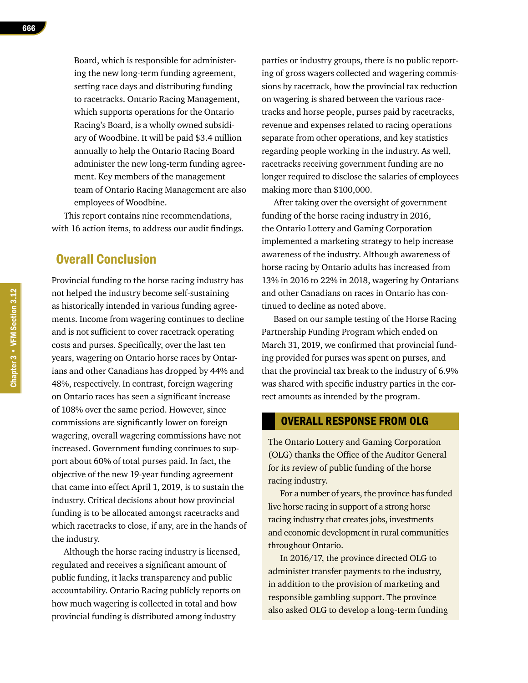Board, which is responsible for administering the new long-term funding agreement, setting race days and distributing funding to racetracks. Ontario Racing Management, which supports operations for the Ontario Racing's Board, is a wholly owned subsidiary of Woodbine. It will be paid \$3.4 million annually to help the Ontario Racing Board administer the new long-term funding agreement. Key members of the management team of Ontario Racing Management are also employees of Woodbine.

This report contains nine recommendations, with 16 action items, to address our audit findings.

### Overall Conclusion

Provincial funding to the horse racing industry has not helped the industry become self-sustaining as historically intended in various funding agreements. Income from wagering continues to decline and is not sufficient to cover racetrack operating costs and purses. Specifically, over the last ten years, wagering on Ontario horse races by Ontarians and other Canadians has dropped by 44% and 48%, respectively. In contrast, foreign wagering on Ontario races has seen a significant increase of 108% over the same period. However, since commissions are significantly lower on foreign wagering, overall wagering commissions have not increased. Government funding continues to support about 60% of total purses paid. In fact, the objective of the new 19-year funding agreement that came into effect April 1, 2019, is to sustain the industry. Critical decisions about how provincial funding is to be allocated amongst racetracks and which racetracks to close, if any, are in the hands of the industry.

Although the horse racing industry is licensed, regulated and receives a significant amount of public funding, it lacks transparency and public accountability. Ontario Racing publicly reports on how much wagering is collected in total and how provincial funding is distributed among industry

parties or industry groups, there is no public reporting of gross wagers collected and wagering commissions by racetrack, how the provincial tax reduction on wagering is shared between the various racetracks and horse people, purses paid by racetracks, revenue and expenses related to racing operations separate from other operations, and key statistics regarding people working in the industry. As well, racetracks receiving government funding are no longer required to disclose the salaries of employees making more than \$100,000.

After taking over the oversight of government funding of the horse racing industry in 2016, the Ontario Lottery and Gaming Corporation implemented a marketing strategy to help increase awareness of the industry. Although awareness of horse racing by Ontario adults has increased from 13% in 2016 to 22% in 2018, wagering by Ontarians and other Canadians on races in Ontario has continued to decline as noted above.

Based on our sample testing of the Horse Racing Partnership Funding Program which ended on March 31, 2019, we confirmed that provincial funding provided for purses was spent on purses, and that the provincial tax break to the industry of 6.9% was shared with specific industry parties in the correct amounts as intended by the program.

### OVERALL RESPONSE FROM OLG

The Ontario Lottery and Gaming Corporation (OLG) thanks the Office of the Auditor General for its review of public funding of the horse racing industry.

For a number of years, the province has funded live horse racing in support of a strong horse racing industry that creates jobs, investments and economic development in rural communities throughout Ontario.

In 2016/17, the province directed OLG to administer transfer payments to the industry, in addition to the provision of marketing and responsible gambling support. The province also asked OLG to develop a long-term funding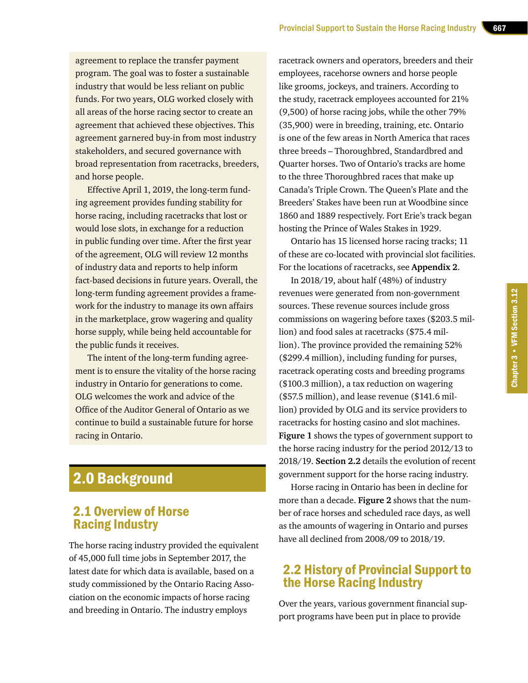agreement to replace the transfer payment program. The goal was to foster a sustainable industry that would be less reliant on public funds. For two years, OLG worked closely with all areas of the horse racing sector to create an agreement that achieved these objectives. This agreement garnered buy-in from most industry stakeholders, and secured governance with broad representation from racetracks, breeders, and horse people.

Effective April 1, 2019, the long-term funding agreement provides funding stability for horse racing, including racetracks that lost or would lose slots, in exchange for a reduction in public funding over time. After the first year of the agreement, OLG will review 12 months of industry data and reports to help inform fact-based decisions in future years. Overall, the long-term funding agreement provides a framework for the industry to manage its own affairs in the marketplace, grow wagering and quality horse supply, while being held accountable for the public funds it receives.

The intent of the long-term funding agreement is to ensure the vitality of the horse racing industry in Ontario for generations to come. OLG welcomes the work and advice of the Office of the Auditor General of Ontario as we continue to build a sustainable future for horse racing in Ontario.

### 2.0 Background

### 2.1 Overview of Horse Racing Industry

The horse racing industry provided the equivalent of 45,000 full time jobs in September 2017, the latest date for which data is available, based on a study commissioned by the Ontario Racing Association on the economic impacts of horse racing and breeding in Ontario. The industry employs

racetrack owners and operators, breeders and their employees, racehorse owners and horse people like grooms, jockeys, and trainers. According to the study, racetrack employees accounted for 21% (9,500) of horse racing jobs, while the other 79% (35,900) were in breeding, training, etc. Ontario is one of the few areas in North America that races three breeds – Thoroughbred, Standardbred and Quarter horses. Two of Ontario's tracks are home to the three Thoroughbred races that make up Canada's Triple Crown. The Queen's Plate and the Breeders' Stakes have been run at Woodbine since 1860 and 1889 respectively. Fort Erie's track began hosting the Prince of Wales Stakes in 1929.

Ontario has 15 licensed horse racing tracks; 11 of these are co-located with provincial slot facilities. For the locations of racetracks, see **Appendix 2**.

In 2018/19, about half (48%) of industry revenues were generated from non-government sources. These revenue sources include gross commissions on wagering before taxes (\$203.5 million) and food sales at racetracks (\$75.4 million). The province provided the remaining 52% (\$299.4 million), including funding for purses, racetrack operating costs and breeding programs (\$100.3 million), a tax reduction on wagering (\$57.5 million), and lease revenue (\$141.6 million) provided by OLG and its service providers to racetracks for hosting casino and slot machines. **Figure 1** shows the types of government support to the horse racing industry for the period 2012/13 to 2018/19. **Section 2.2** details the evolution of recent government support for the horse racing industry.

Horse racing in Ontario has been in decline for more than a decade. **Figure 2** shows that the number of race horses and scheduled race days, as well as the amounts of wagering in Ontario and purses have all declined from 2008/09 to 2018/19.

### 2.2 History of Provincial Support to the Horse Racing Industry

Over the years, various government financial support programs have been put in place to provide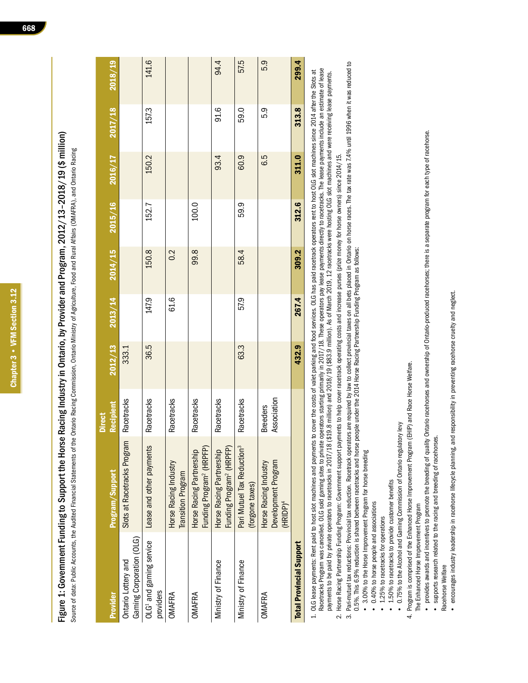Figure 1: Government Funding to Support the Horse Racing Industry in Ontario, by Provider and Program, 2012/13-2018/19 (\$ million) Figure 1: Government Funding to Support the Horse Racing Industry in Ontario, by Provider and Program, 2012/13–2018/19 (\$ million)

| ֚֬<br>ׇׇ֠֕֡                         |
|-------------------------------------|
|                                     |
|                                     |
| ı                                   |
|                                     |
|                                     |
| j                                   |
| ֠<br>֠                              |
| ֺ֚                                  |
|                                     |
| ׇ֚֘֝֬<br>j<br>$\overline{a}$        |
| ļ                                   |
|                                     |
| ֚֬֕֕                                |
| ֚֚֬                                 |
|                                     |
| j                                   |
| l<br>i                              |
| ۱                                   |
| Ċ                                   |
| S<br>Ó<br>١                         |
| ī<br>í<br>j<br>l<br>$\ddot{ }$<br>ł |
| I                                   |
|                                     |
|                                     |
|                                     |
|                                     |
|                                     |

|                                                  |                                                                  | <b>Direct</b>                  |         |       |                     |         |         |         |         |
|--------------------------------------------------|------------------------------------------------------------------|--------------------------------|---------|-------|---------------------|---------|---------|---------|---------|
| Provider                                         | Program/Support                                                  | Recipient                      | 2012/13 |       | $2013/14$ $2014/15$ | 2015/16 | 2016/17 | 2017/18 | 2018/19 |
| Gaming Corporation (OLG)<br>Ontario Lottery and  | Slots at Racetracks Program                                      | Racetracks                     | 333.1   |       |                     |         |         |         |         |
| OLG <sup>1</sup> and gaming service<br>providers | Lease and other payments                                         | Racetracks                     | 36.5    | 147.9 | 150.8               | 152.7   | 150.2   | 157.3   | 141.6   |
| OMAFRA                                           | Horse Racing Industry<br><b>Transition Program</b>               | Racetracks                     |         | 61.6  | 0.2                 |         |         |         |         |
| <b>OMAFRA</b>                                    | Funding Program <sup>2</sup> (HRPFP)<br>Horse Racing Partnership | Racetracks                     |         |       | 99.8                | 100.0   |         |         |         |
| Ministry of Finance                              | Funding Program <sup>2</sup> (HRPFP)<br>Horse Racing Partnership | Racetracks                     |         |       |                     |         | 93.4    | 91.6    | 94.4    |
| Ministry of Finance                              | Pari Mutuel Tax Reduction <sup>3</sup><br>(forgone taxes)        | Racetracks                     | 63.3    | 57.9  | 58.4                | 59.9    | 60.9    | 59.0    | 57.5    |
| OMAFRA                                           | Development Program<br>Horse Racing Industry<br>$(HRIDP)^4$      | Association<br><b>Breeders</b> |         |       |                     |         | 6.5     | 5.9     | 5.9     |
| <b>Total Provincial Support</b>                  |                                                                  |                                | 432.9   | 267.4 | 309.2               | 312.6   | 311.0   | 313.8   | 299.4   |
|                                                  |                                                                  |                                |         | i     |                     |         |         | i       |         |

- Racetracks Program was cancelled. OLG sold gaming sites to private operators starting primarily in 2017/18. These operators pay lease payments directly to racetracks. The lease payments include an estimate of lease Racetracks Program was cancelled. OLG sold gaming sites to private operators starting primarily in 2017/18. These operators pay lease payments uncetracks. The lease payments include an estimate of lease 1. OLG lease payments: Rent paid to host slot machines and payments to cover the costs of valet parking and food services. OLG has paid racetrack operators rent to host OLG slot machines since 2014 after the Slots at 1. OLG lease payments: Rent paid to host slot machines and payments to cover the costs of valet parking and food services. OLG has paid racetrack operators rent to host OLG slot machines since 2014 after the Slots at payments to be paid by private operators to racetracks in 2017/18 (\$19.8 million) and 2018/19 (\$83.9 million). As of March 2019, 12 racetracks were hosting OLG slot machines and were receiving lease payments. payments to be paid by private operators to racetracks in 2017/18 (\$19.8 million) and 2018/19 (\$83.9 million). As of March 2019, 12 racetracks were hosting OLG slot machines and were receiving lease payments.
	- 2. Horse Racing Partnership Funding Program: Government support payments to help cover racetrack operating costs and increase purses (prize money for horse owners) since 2014/15. 2. Horse Racing Partnership Funding Program: Government support payments to help cover racetrack operating costs and increase purses (prize money for horse owners) since 2014/15.
- 3. Pari-mutuel tax reductions: Provincial tax reduction. Racetrack operators are required by law to collect provincial taxes on all bets placed in Ontario on horse races. The tax rate was 7.4% until 1996 when it was reduce 3. Pari-mutuel tax reductions: Provincial tax reduction. Racetrack operators are required by law to collect provincial taxes on all bets placed in Ontario on horse races. The tax rate was 74% until 1996 when it was reduced 0.5%. This 6.9% reduction is shared between racetracks and horse people under the 2014 Horse Racing Partnership Funding Program as follows: 0.5%. This 6.9% reduction is shared between racetracks and horse people under the 2014 Horse Racing Partnership Funding Program as follows:
	- 3.00% to the Horse Improvement Program for horse breeding 3.00% to the Horse Improvement Program for horse breeding
- 0.40% to horse people and associations 0.40% to horse people and associations
	- 1.25% to racetracks for operations 1.25% to racetracks for operations
- 1.50% to racetracks to provide customer benefits • 1.50% to racetracks to provide customer benefits
- 0.75% to the Alcohol and Gaming Commission of Ontario regulatory levy 0.75% to the Alcohol and Gaming Commission of Ontario regulatory levy
- 4. Program is comprised of the Enhanced Horse Improvement Program (EHIP) and Race Horse Welfare. 4. Program is comprised of the Enhanced Horse Improvement Program (EHIP) and Race Horse Welfare.
	- The Enhanced Horse Improvement Program The Enhanced Horse Improvement Program
- provides awards and incentives to promote the breeding of quality Ontario racehorses and ownership of Ontario-produced racehorses; there is a separate program for each type of racehorse. provides awards and incentives to promote the breeding of quality Ontario racehorses and ownership of Ontario-produced racehorses; there is a separate program for each type of racehorse.
	- · supports research related to the racing and breeding of racehorses. supports research related to the racing and breeding of racehorses.
		- Racehorse Welfare Racehorse Welfare
- $\bullet\,$  encourages industry leadership in racehorse lifecycle planning, and responsibility in preventing racehorse cruelty and neglect. encourages industry leadership in racehorse lifecycle planning, and responsibility in preventing racehorse cruelty and neglect.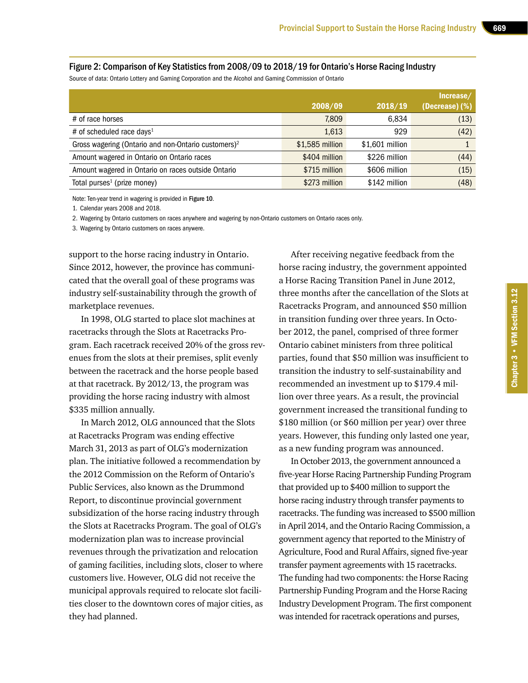### Figure 2: Comparison of Key Statistics from 2008/09 to 2018/19 for Ontario's Horse Racing Industry

Source of data: Ontario Lottery and Gaming Corporation and the Alcohol and Gaming Commission of Ontario

|                                                                 | 2008/09         | 2018/19         | Increase/<br>$($ Decrease $)$ $($ % $)$ |
|-----------------------------------------------------------------|-----------------|-----------------|-----------------------------------------|
| # of race horses                                                | 7,809           | 6,834           | (13)                                    |
| # of scheduled race days <sup>1</sup>                           | 1,613           | 929             | (42)                                    |
| Gross wagering (Ontario and non-Ontario customers) <sup>2</sup> | \$1,585 million | \$1,601 million |                                         |
| Amount wagered in Ontario on Ontario races                      | \$404 million   | \$226 million   | (44)                                    |
| Amount wagered in Ontario on races outside Ontario              | \$715 million   | \$606 million   | (15)                                    |
| Total purses <sup>1</sup> (prize money)                         | \$273 million   | \$142 million   | (48)                                    |

Note: Ten-year trend in wagering is provided in Figure 10.

1. Calendar years 2008 and 2018.

2. Wagering by Ontario customers on races anywhere and wagering by non-Ontario customers on Ontario races only.

3. Wagering by Ontario customers on races anywere.

support to the horse racing industry in Ontario. Since 2012, however, the province has communicated that the overall goal of these programs was industry self-sustainability through the growth of marketplace revenues.

In 1998, OLG started to place slot machines at racetracks through the Slots at Racetracks Program. Each racetrack received 20% of the gross revenues from the slots at their premises, split evenly between the racetrack and the horse people based at that racetrack. By 2012/13, the program was providing the horse racing industry with almost \$335 million annually.

In March 2012, OLG announced that the Slots at Racetracks Program was ending effective March 31, 2013 as part of OLG's modernization plan. The initiative followed a recommendation by the 2012 Commission on the Reform of Ontario's Public Services, also known as the Drummond Report, to discontinue provincial government subsidization of the horse racing industry through the Slots at Racetracks Program. The goal of OLG's modernization plan was to increase provincial revenues through the privatization and relocation of gaming facilities, including slots, closer to where customers live. However, OLG did not receive the municipal approvals required to relocate slot facilities closer to the downtown cores of major cities, as they had planned.

After receiving negative feedback from the horse racing industry, the government appointed a Horse Racing Transition Panel in June 2012, three months after the cancellation of the Slots at Racetracks Program, and announced \$50 million in transition funding over three years. In October 2012, the panel, comprised of three former Ontario cabinet ministers from three political parties, found that \$50 million was insufficient to transition the industry to self-sustainability and recommended an investment up to \$179.4 million over three years. As a result, the provincial government increased the transitional funding to \$180 million (or \$60 million per year) over three years. However, this funding only lasted one year, as a new funding program was announced.

In October 2013, the government announced a five-year Horse Racing Partnership Funding Program that provided up to \$400 million to support the horse racing industry through transfer payments to racetracks. The funding was increased to \$500 million in April 2014, and the Ontario Racing Commission, a government agency that reported to the Ministry of Agriculture, Food and Rural Affairs, signed five-year transfer payment agreements with 15 racetracks. The funding had two components: the Horse Racing Partnership Funding Program and the Horse Racing Industry Development Program. The first component was intended for racetrack operations and purses,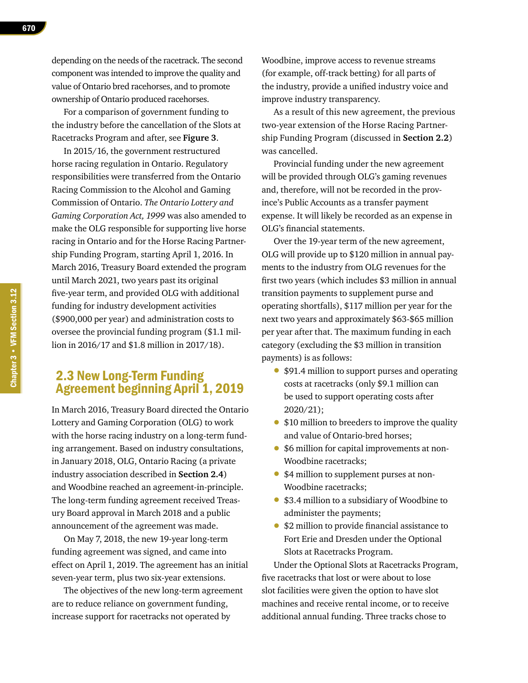670

depending on the needs of the racetrack. The second component was intended to improve the quality and value of Ontario bred racehorses, and to promote ownership of Ontario produced racehorses.

For a comparison of government funding to the industry before the cancellation of the Slots at Racetracks Program and after, see **Figure 3**.

In 2015/16, the government restructured horse racing regulation in Ontario. Regulatory responsibilities were transferred from the Ontario Racing Commission to the Alcohol and Gaming Commission of Ontario. *The Ontario Lottery and Gaming Corporation Act, 1999* was also amended to make the OLG responsible for supporting live horse racing in Ontario and for the Horse Racing Partnership Funding Program, starting April 1, 2016. In March 2016, Treasury Board extended the program until March 2021, two years past its original five-year term, and provided OLG with additional funding for industry development activities (\$900,000 per year) and administration costs to oversee the provincial funding program (\$1.1 million in 2016/17 and \$1.8 million in 2017/18).

### 2.3 New Long-Term Funding Agreement beginning April 1, 2019

In March 2016, Treasury Board directed the Ontario Lottery and Gaming Corporation (OLG) to work with the horse racing industry on a long-term funding arrangement. Based on industry consultations, in January 2018, OLG, Ontario Racing (a private industry association described in **Section 2.4**) and Woodbine reached an agreement-in-principle. The long-term funding agreement received Treasury Board approval in March 2018 and a public announcement of the agreement was made.

On May 7, 2018, the new 19-year long-term funding agreement was signed, and came into effect on April 1, 2019. The agreement has an initial seven-year term, plus two six-year extensions.

The objectives of the new long-term agreement are to reduce reliance on government funding, increase support for racetracks not operated by

Woodbine, improve access to revenue streams (for example, off-track betting) for all parts of the industry, provide a unified industry voice and improve industry transparency.

As a result of this new agreement, the previous two-year extension of the Horse Racing Partnership Funding Program (discussed in **Section 2.2**) was cancelled.

Provincial funding under the new agreement will be provided through OLG's gaming revenues and, therefore, will not be recorded in the province's Public Accounts as a transfer payment expense. It will likely be recorded as an expense in OLG's financial statements.

Over the 19-year term of the new agreement, OLG will provide up to \$120 million in annual payments to the industry from OLG revenues for the first two years (which includes \$3 million in annual transition payments to supplement purse and operating shortfalls), \$117 million per year for the next two years and approximately \$63-\$65 million per year after that. The maximum funding in each category (excluding the \$3 million in transition payments) is as follows:

- \$91.4 million to support purses and operating costs at racetracks (only \$9.1 million can be used to support operating costs after 2020/21);
- \$10 million to breeders to improve the quality and value of Ontario-bred horses;
- \$6 million for capital improvements at non-Woodbine racetracks;
- \$4 million to supplement purses at non-Woodbine racetracks;
- \$3.4 million to a subsidiary of Woodbine to administer the payments;
- \$2 million to provide financial assistance to Fort Erie and Dresden under the Optional Slots at Racetracks Program.

Under the Optional Slots at Racetracks Program, five racetracks that lost or were about to lose slot facilities were given the option to have slot machines and receive rental income, or to receive additional annual funding. Three tracks chose to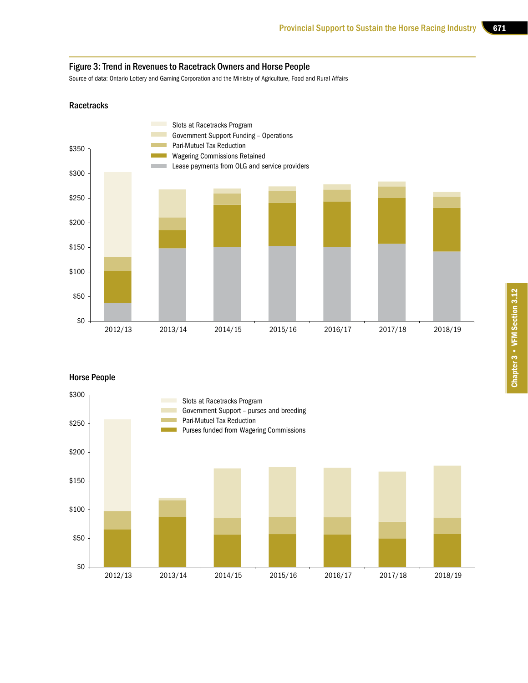### Figure 3: Trend in Revenues to Racetrack Owners and Horse People

Source of data: Ontario Lottery and Gaming Corporation and the Ministry of Agriculture, Food and Rural Affairs

### **Racetracks**



### Horse People

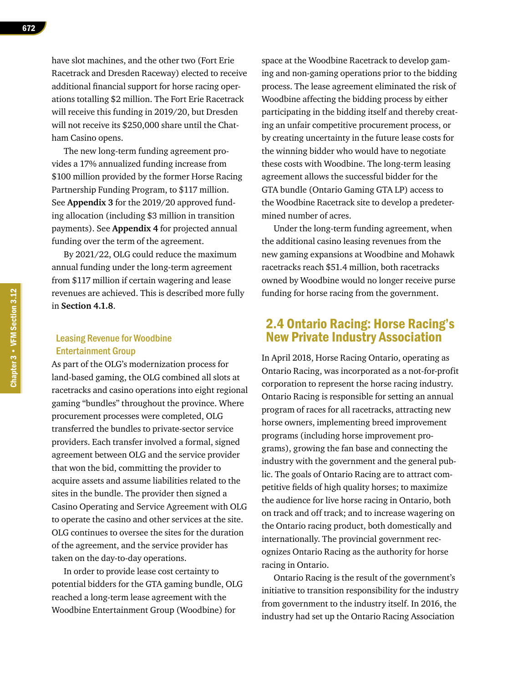have slot machines, and the other two (Fort Erie Racetrack and Dresden Raceway) elected to receive additional financial support for horse racing operations totalling \$2 million. The Fort Erie Racetrack will receive this funding in 2019/20, but Dresden will not receive its \$250,000 share until the Chatham Casino opens.

The new long-term funding agreement provides a 17% annualized funding increase from \$100 million provided by the former Horse Racing Partnership Funding Program, to \$117 million. See **Appendix 3** for the 2019/20 approved funding allocation (including \$3 million in transition payments). See **Appendix 4** for projected annual funding over the term of the agreement.

By 2021/22, OLG could reduce the maximum annual funding under the long-term agreement from \$117 million if certain wagering and lease revenues are achieved. This is described more fully in **Section 4.1.8**.

### Leasing Revenue for Woodbine Entertainment Group

As part of the OLG's modernization process for land-based gaming, the OLG combined all slots at racetracks and casino operations into eight regional gaming "bundles" throughout the province. Where procurement processes were completed, OLG transferred the bundles to private-sector service providers. Each transfer involved a formal, signed agreement between OLG and the service provider that won the bid, committing the provider to acquire assets and assume liabilities related to the sites in the bundle. The provider then signed a Casino Operating and Service Agreement with OLG to operate the casino and other services at the site. OLG continues to oversee the sites for the duration of the agreement, and the service provider has taken on the day-to-day operations.

In order to provide lease cost certainty to potential bidders for the GTA gaming bundle, OLG reached a long-term lease agreement with the Woodbine Entertainment Group (Woodbine) for

space at the Woodbine Racetrack to develop gaming and non-gaming operations prior to the bidding process. The lease agreement eliminated the risk of Woodbine affecting the bidding process by either participating in the bidding itself and thereby creating an unfair competitive procurement process, or by creating uncertainty in the future lease costs for the winning bidder who would have to negotiate these costs with Woodbine. The long-term leasing agreement allows the successful bidder for the GTA bundle (Ontario Gaming GTA LP) access to the Woodbine Racetrack site to develop a predetermined number of acres.

Under the long-term funding agreement, when the additional casino leasing revenues from the new gaming expansions at Woodbine and Mohawk racetracks reach \$51.4 million, both racetracks owned by Woodbine would no longer receive purse funding for horse racing from the government.

### 2.4 Ontario Racing: Horse Racing's New Private Industry Association

In April 2018, Horse Racing Ontario, operating as Ontario Racing, was incorporated as a not-for-profit corporation to represent the horse racing industry. Ontario Racing is responsible for setting an annual program of races for all racetracks, attracting new horse owners, implementing breed improvement programs (including horse improvement programs), growing the fan base and connecting the industry with the government and the general public. The goals of Ontario Racing are to attract competitive fields of high quality horses; to maximize the audience for live horse racing in Ontario, both on track and off track; and to increase wagering on the Ontario racing product, both domestically and internationally. The provincial government recognizes Ontario Racing as the authority for horse racing in Ontario.

Ontario Racing is the result of the government's initiative to transition responsibility for the industry from government to the industry itself. In 2016, the industry had set up the Ontario Racing Association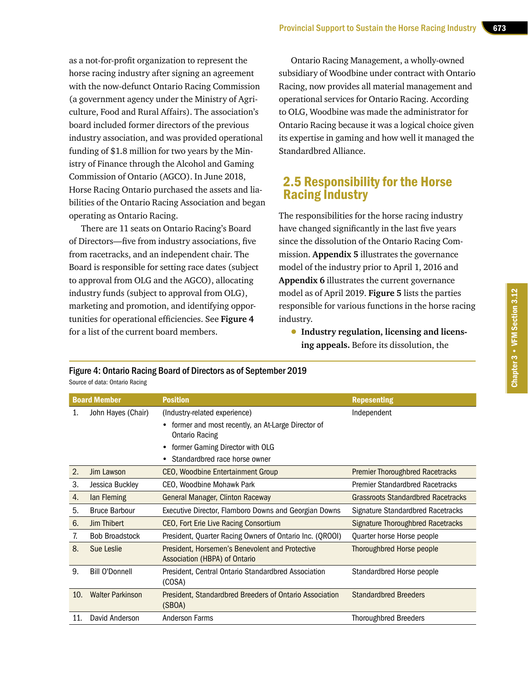as a not-for-profit organization to represent the horse racing industry after signing an agreement with the now-defunct Ontario Racing Commission (a government agency under the Ministry of Agriculture, Food and Rural Affairs). The association's board included former directors of the previous industry association, and was provided operational funding of \$1.8 million for two years by the Ministry of Finance through the Alcohol and Gaming Commission of Ontario (AGCO). In June 2018, Horse Racing Ontario purchased the assets and liabilities of the Ontario Racing Association and began operating as Ontario Racing.

There are 11 seats on Ontario Racing's Board of Directors—five from industry associations, five from racetracks, and an independent chair. The Board is responsible for setting race dates (subject to approval from OLG and the AGCO), allocating industry funds (subject to approval from OLG), marketing and promotion, and identifying opportunities for operational efficiencies. See **Figure 4** for a list of the current board members.

Ontario Racing Management, a wholly-owned subsidiary of Woodbine under contract with Ontario Racing, now provides all material management and operational services for Ontario Racing. According to OLG, Woodbine was made the administrator for Ontario Racing because it was a logical choice given its expertise in gaming and how well it managed the Standardbred Alliance.

### 2.5 Responsibility for the Horse Racing Industry

The responsibilities for the horse racing industry have changed significantly in the last five years since the dissolution of the Ontario Racing Commission. **Appendix 5** illustrates the governance model of the industry prior to April 1, 2016 and **Appendix 6** illustrates the current governance model as of April 2019. **Figure 5** lists the parties responsible for various functions in the horse racing industry.

• **Industry regulation, licensing and licensing appeals.** Before its dissolution, the

|                                | Figure 4: Ontario Racing Board of Directors as of September 2019 |
|--------------------------------|------------------------------------------------------------------|
| Source of data: Ontario Racing |                                                                  |

|     | <b>Board Member</b>     | <b>Position</b>                                          | <b>Repesenting</b>                        |
|-----|-------------------------|----------------------------------------------------------|-------------------------------------------|
| 1.  | John Hayes (Chair)      | (Industry-related experience)                            | Independent                               |
|     |                         | former and most recently, an At-Large Director of<br>٠   |                                           |
|     |                         | <b>Ontario Racing</b>                                    |                                           |
|     |                         | former Gaming Director with OLG<br>٠                     |                                           |
|     |                         | Standardbred race horse owner                            |                                           |
| 2.  | Jim Lawson              | <b>CEO, Woodbine Entertainment Group</b>                 | <b>Premier Thoroughbred Racetracks</b>    |
| 3.  | Jessica Buckley         | CEO, Woodbine Mohawk Park                                | <b>Premier Standardbred Racetracks</b>    |
| 4.  | lan Fleming             | General Manager, Clinton Raceway                         | <b>Grassroots Standardbred Racetracks</b> |
| 5.  | <b>Bruce Barbour</b>    | Executive Director, Flamboro Downs and Georgian Downs    | Signature Standardbred Racetracks         |
| 6.  | <b>Jim Thibert</b>      | CEO, Fort Erie Live Racing Consortium                    | Signature Thoroughbred Racetracks         |
| 7.  | <b>Bob Broadstock</b>   | President, Quarter Racing Owners of Ontario Inc. (QROOI) | Quarter horse Horse people                |
| 8.  | Sue Leslie              | President, Horsemen's Benevolent and Protective          | Thoroughbred Horse people                 |
|     |                         | Association (HBPA) of Ontario                            |                                           |
| 9.  | <b>Bill O'Donnell</b>   | President, Central Ontario Standardbred Association      | Standardbred Horse people                 |
|     |                         | (COSA)                                                   |                                           |
| 10. | <b>Walter Parkinson</b> | President, Standardbred Breeders of Ontario Association  | <b>Standardbred Breeders</b>              |
|     |                         | (SBOA)                                                   |                                           |
| 11. | David Anderson          | <b>Anderson Farms</b>                                    | <b>Thoroughbred Breeders</b>              |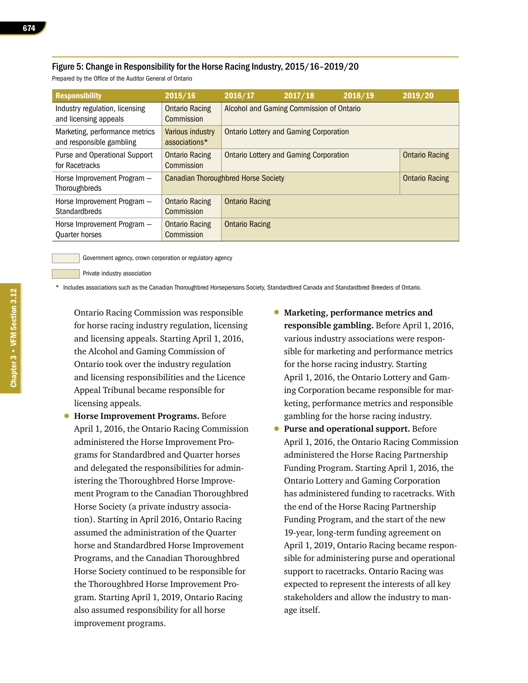### Figure 5: Change in Responsibility for the Horse Racing Industry, 2015/16–2019/20

Prepared by the Office of the Auditor General of Ontario

| <b>Responsibility</b>                                      | 2015/16                             | 2016/17                                                             | 2017/18               | 2018/19 | 2019/20 |
|------------------------------------------------------------|-------------------------------------|---------------------------------------------------------------------|-----------------------|---------|---------|
| Industry regulation, licensing<br>and licensing appeals    | <b>Ontario Racing</b><br>Commission | Alcohol and Gaming Commission of Ontario                            |                       |         |         |
| Marketing, performance metrics<br>and responsible gambling | Various industry<br>associations*   | <b>Ontario Lottery and Gaming Corporation</b>                       |                       |         |         |
| Purse and Operational Support<br>for Racetracks            | <b>Ontario Racing</b><br>Commission | <b>Ontario Lottery and Gaming Corporation</b>                       | <b>Ontario Racing</b> |         |         |
| Horse Improvement Program -<br>Thoroughbreds               |                                     | <b>Canadian Thoroughbred Horse Society</b><br><b>Ontario Racing</b> |                       |         |         |
| Horse Improvement Program -<br><b>Standardbreds</b>        | <b>Ontario Racing</b><br>Commission | <b>Ontario Racing</b>                                               |                       |         |         |
| Horse Improvement Program -<br><b>Quarter horses</b>       | <b>Ontario Racing</b><br>Commission | <b>Ontario Racing</b>                                               |                       |         |         |

Government agency, crown corporation or regulatory agency

Private industry association

\* Includes associations such as the Canadian Thoroughbred Horsepersons Society, Standardbred Canada and Standardbred Breeders of Ontario.

- Ontario Racing Commission was responsible for horse racing industry regulation, licensing and licensing appeals. Starting April 1, 2016, the Alcohol and Gaming Commission of Ontario took over the industry regulation and licensing responsibilities and the Licence Appeal Tribunal became responsible for licensing appeals.
- **Horse Improvement Programs.** Before April 1, 2016, the Ontario Racing Commission administered the Horse Improvement Programs for Standardbred and Quarter horses and delegated the responsibilities for administering the Thoroughbred Horse Improvement Program to the Canadian Thoroughbred Horse Society (a private industry association). Starting in April 2016, Ontario Racing assumed the administration of the Quarter horse and Standardbred Horse Improvement Programs, and the Canadian Thoroughbred Horse Society continued to be responsible for the Thoroughbred Horse Improvement Program. Starting April 1, 2019, Ontario Racing also assumed responsibility for all horse improvement programs.
- **Marketing, performance metrics and responsible gambling.** Before April 1, 2016, various industry associations were responsible for marketing and performance metrics for the horse racing industry. Starting April 1, 2016, the Ontario Lottery and Gaming Corporation became responsible for marketing, performance metrics and responsible gambling for the horse racing industry.
- **Purse and operational support.** Before April 1, 2016, the Ontario Racing Commission administered the Horse Racing Partnership Funding Program. Starting April 1, 2016, the Ontario Lottery and Gaming Corporation has administered funding to racetracks. With the end of the Horse Racing Partnership Funding Program, and the start of the new 19-year, long-term funding agreement on April 1, 2019, Ontario Racing became responsible for administering purse and operational support to racetracks. Ontario Racing was expected to represent the interests of all key stakeholders and allow the industry to manage itself.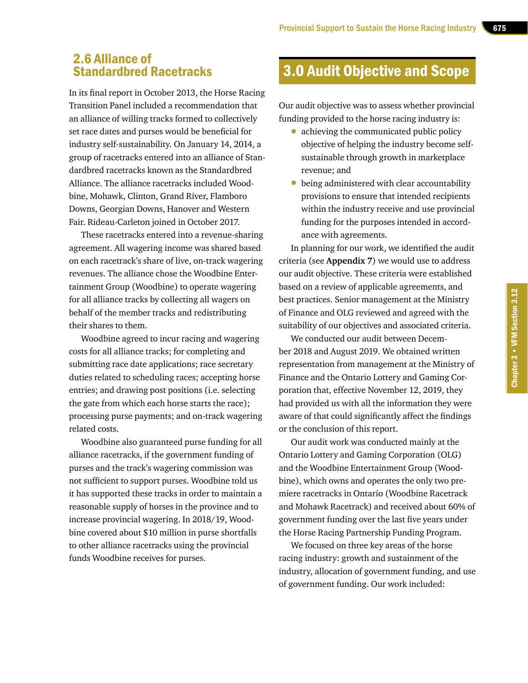### 2.6 Alliance of Standardbred Racetracks

In its final report in October 2013, the Horse Racing Transition Panel included a recommendation that an alliance of willing tracks formed to collectively set race dates and purses would be beneficial for industry self-sustainability. On January 14, 2014, a group of racetracks entered into an alliance of Standardbred racetracks known as the Standardbred Alliance. The alliance racetracks included Woodbine, Mohawk, Clinton, Grand River, Flamboro Downs, Georgian Downs, Hanover and Western Fair. Rideau-Carleton joined in October 2017.

These racetracks entered into a revenue-sharing agreement. All wagering income was shared based on each racetrack's share of live, on-track wagering revenues. The alliance chose the Woodbine Entertainment Group (Woodbine) to operate wagering for all alliance tracks by collecting all wagers on behalf of the member tracks and redistributing their shares to them.

Woodbine agreed to incur racing and wagering costs for all alliance tracks; for completing and submitting race date applications; race secretary duties related to scheduling races; accepting horse entries; and drawing post positions (i.e. selecting the gate from which each horse starts the race); processing purse payments; and on-track wagering related costs.

Woodbine also guaranteed purse funding for all alliance racetracks, if the government funding of purses and the track's wagering commission was not sufficient to support purses. Woodbine told us it has supported these tracks in order to maintain a reasonable supply of horses in the province and to increase provincial wagering. In 2018/19, Woodbine covered about \$10 million in purse shortfalls to other alliance racetracks using the provincial funds Woodbine receives for purses.

### 3.0 Audit Objective and Scope

Our audit objective was to assess whether provincial funding provided to the horse racing industry is:

- achieving the communicated public policy objective of helping the industry become selfsustainable through growth in marketplace revenue; and
- being administered with clear accountability provisions to ensure that intended recipients within the industry receive and use provincial funding for the purposes intended in accordance with agreements.

In planning for our work, we identified the audit criteria (see **Appendix 7**) we would use to address our audit objective. These criteria were established based on a review of applicable agreements, and best practices. Senior management at the Ministry of Finance and OLG reviewed and agreed with the suitability of our objectives and associated criteria.

We conducted our audit between December 2018 and August 2019. We obtained written representation from management at the Ministry of Finance and the Ontario Lottery and Gaming Corporation that, effective November 12, 2019, they had provided us with all the information they were aware of that could significantly affect the findings or the conclusion of this report.

Our audit work was conducted mainly at the Ontario Lottery and Gaming Corporation (OLG) and the Woodbine Entertainment Group (Woodbine), which owns and operates the only two premiere racetracks in Ontario (Woodbine Racetrack and Mohawk Racetrack) and received about 60% of government funding over the last five years under the Horse Racing Partnership Funding Program.

We focused on three key areas of the horse racing industry: growth and sustainment of the industry, allocation of government funding, and use of government funding. Our work included: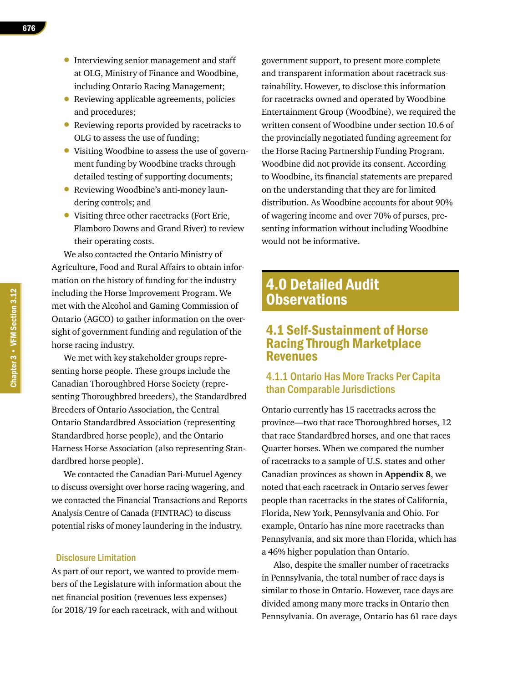- Interviewing senior management and staff at OLG, Ministry of Finance and Woodbine, including Ontario Racing Management;
- Reviewing applicable agreements, policies and procedures;
- Reviewing reports provided by racetracks to OLG to assess the use of funding;
- Visiting Woodbine to assess the use of government funding by Woodbine tracks through detailed testing of supporting documents;
- Reviewing Woodbine's anti-money laundering controls; and
- Visiting three other racetracks (Fort Erie, Flamboro Downs and Grand River) to review their operating costs.

We also contacted the Ontario Ministry of Agriculture, Food and Rural Affairs to obtain information on the history of funding for the industry including the Horse Improvement Program. We met with the Alcohol and Gaming Commission of Ontario (AGCO) to gather information on the oversight of government funding and regulation of the horse racing industry.

We met with key stakeholder groups representing horse people. These groups include the Canadian Thoroughbred Horse Society (representing Thoroughbred breeders), the Standardbred Breeders of Ontario Association, the Central Ontario Standardbred Association (representing Standardbred horse people), and the Ontario Harness Horse Association (also representing Standardbred horse people).

We contacted the Canadian Pari-Mutuel Agency to discuss oversight over horse racing wagering, and we contacted the Financial Transactions and Reports Analysis Centre of Canada (FINTRAC) to discuss potential risks of money laundering in the industry.

### Disclosure Limitation

As part of our report, we wanted to provide members of the Legislature with information about the net financial position (revenues less expenses) for 2018/19 for each racetrack, with and without

government support, to present more complete and transparent information about racetrack sustainability. However, to disclose this information for racetracks owned and operated by Woodbine Entertainment Group (Woodbine), we required the written consent of Woodbine under section 10.6 of the provincially negotiated funding agreement for the Horse Racing Partnership Funding Program. Woodbine did not provide its consent. According to Woodbine, its financial statements are prepared on the understanding that they are for limited distribution. As Woodbine accounts for about 90% of wagering income and over 70% of purses, presenting information without including Woodbine would not be informative.

### 4.0 Detailed Audit **Observations**

### 4.1 Self-Sustainment of Horse Racing Through Marketplace Revenues

### 4.1.1 Ontario Has More Tracks Per Capita than Comparable Jurisdictions

Ontario currently has 15 racetracks across the province—two that race Thoroughbred horses, 12 that race Standardbred horses, and one that races Quarter horses. When we compared the number of racetracks to a sample of U.S. states and other Canadian provinces as shown in **Appendix 8**, we noted that each racetrack in Ontario serves fewer people than racetracks in the states of California, Florida, New York, Pennsylvania and Ohio. For example, Ontario has nine more racetracks than Pennsylvania, and six more than Florida, which has a 46% higher population than Ontario.

Also, despite the smaller number of racetracks in Pennsylvania, the total number of race days is similar to those in Ontario. However, race days are divided among many more tracks in Ontario then Pennsylvania. On average, Ontario has 61 race days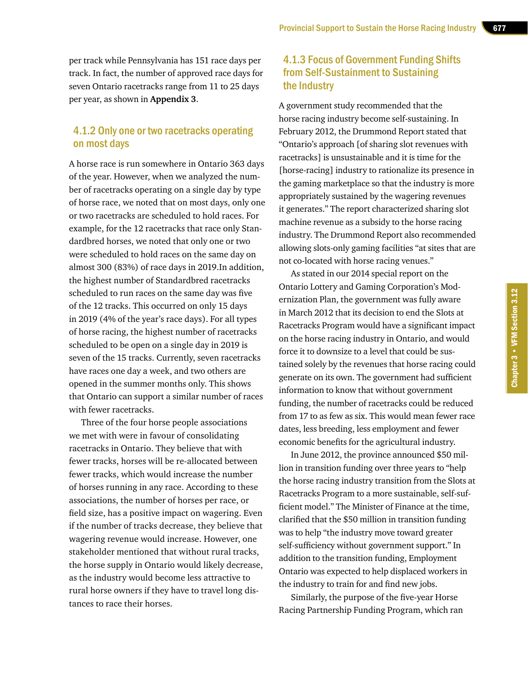per track while Pennsylvania has 151 race days per track. In fact, the number of approved race days for seven Ontario racetracks range from 11 to 25 days per year, as shown in **Appendix 3**.

### 4.1.2 Only one or two racetracks operating on most days

A horse race is run somewhere in Ontario 363 days of the year. However, when we analyzed the number of racetracks operating on a single day by type of horse race, we noted that on most days, only one or two racetracks are scheduled to hold races. For example, for the 12 racetracks that race only Standardbred horses, we noted that only one or two were scheduled to hold races on the same day on almost 300 (83%) of race days in 2019.In addition, the highest number of Standardbred racetracks scheduled to run races on the same day was five of the 12 tracks. This occurred on only 15 days in 2019 (4% of the year's race days). For all types of horse racing, the highest number of racetracks scheduled to be open on a single day in 2019 is seven of the 15 tracks. Currently, seven racetracks have races one day a week, and two others are opened in the summer months only. This shows that Ontario can support a similar number of races with fewer racetracks.

Three of the four horse people associations we met with were in favour of consolidating racetracks in Ontario. They believe that with fewer tracks, horses will be re-allocated between fewer tracks, which would increase the number of horses running in any race. According to these associations, the number of horses per race, or field size, has a positive impact on wagering. Even if the number of tracks decrease, they believe that wagering revenue would increase. However, one stakeholder mentioned that without rural tracks, the horse supply in Ontario would likely decrease, as the industry would become less attractive to rural horse owners if they have to travel long distances to race their horses.

### 4.1.3 Focus of Government Funding Shifts from Self-Sustainment to Sustaining the Industry

A government study recommended that the horse racing industry become self-sustaining. In February 2012, the Drummond Report stated that "Ontario's approach [of sharing slot revenues with racetracks] is unsustainable and it is time for the [horse-racing] industry to rationalize its presence in the gaming marketplace so that the industry is more appropriately sustained by the wagering revenues it generates." The report characterized sharing slot machine revenue as a subsidy to the horse racing industry. The Drummond Report also recommended allowing slots-only gaming facilities "at sites that are not co-located with horse racing venues."

As stated in our 2014 special report on the Ontario Lottery and Gaming Corporation's Modernization Plan, the government was fully aware in March 2012 that its decision to end the Slots at Racetracks Program would have a significant impact on the horse racing industry in Ontario, and would force it to downsize to a level that could be sustained solely by the revenues that horse racing could generate on its own. The government had sufficient information to know that without government funding, the number of racetracks could be reduced from 17 to as few as six. This would mean fewer race dates, less breeding, less employment and fewer economic benefits for the agricultural industry.

In June 2012, the province announced \$50 million in transition funding over three years to "help the horse racing industry transition from the Slots at Racetracks Program to a more sustainable, self-sufficient model." The Minister of Finance at the time, clarified that the \$50 million in transition funding was to help "the industry move toward greater self-sufficiency without government support." In addition to the transition funding, Employment Ontario was expected to help displaced workers in the industry to train for and find new jobs.

Similarly, the purpose of the five-year Horse Racing Partnership Funding Program, which ran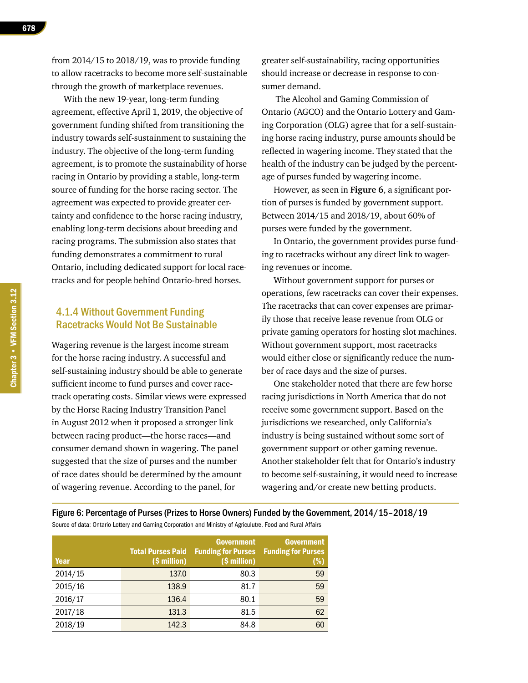from 2014/15 to 2018/19, was to provide funding to allow racetracks to become more self-sustainable through the growth of marketplace revenues.

With the new 19-year, long-term funding agreement, effective April 1, 2019, the objective of government funding shifted from transitioning the industry towards self-sustainment to sustaining the industry. The objective of the long-term funding agreement, is to promote the sustainability of horse racing in Ontario by providing a stable, long-term source of funding for the horse racing sector. The agreement was expected to provide greater certainty and confidence to the horse racing industry, enabling long-term decisions about breeding and racing programs. The submission also states that funding demonstrates a commitment to rural Ontario, including dedicated support for local racetracks and for people behind Ontario-bred horses.

### 4.1.4 Without Government Funding Racetracks Would Not Be Sustainable

Wagering revenue is the largest income stream for the horse racing industry. A successful and self-sustaining industry should be able to generate sufficient income to fund purses and cover racetrack operating costs. Similar views were expressed by the Horse Racing Industry Transition Panel in August 2012 when it proposed a stronger link between racing product—the horse races—and consumer demand shown in wagering. The panel suggested that the size of purses and the number of race dates should be determined by the amount of wagering revenue. According to the panel, for

greater self-sustainability, racing opportunities should increase or decrease in response to consumer demand.

 The Alcohol and Gaming Commission of Ontario (AGCO) and the Ontario Lottery and Gaming Corporation (OLG) agree that for a self-sustaining horse racing industry, purse amounts should be reflected in wagering income. They stated that the health of the industry can be judged by the percentage of purses funded by wagering income.

However, as seen in **Figure 6**, a significant portion of purses is funded by government support. Between 2014/15 and 2018/19, about 60% of purses were funded by the government.

In Ontario, the government provides purse funding to racetracks without any direct link to wagering revenues or income.

Without government support for purses or operations, few racetracks can cover their expenses. The racetracks that can cover expenses are primarily those that receive lease revenue from OLG or private gaming operators for hosting slot machines. Without government support, most racetracks would either close or significantly reduce the number of race days and the size of purses.

One stakeholder noted that there are few horse racing jurisdictions in North America that do not receive some government support. Based on the jurisdictions we researched, only California's industry is being sustained without some sort of government support or other gaming revenue. Another stakeholder felt that for Ontario's industry to become self-sustaining, it would need to increase wagering and/or create new betting products.

Figure 6: Percentage of Purses (Prizes to Horse Owners) Funded by the Government, 2014/15–2018/19 Source of data: Ontario Lottery and Gaming Corporation and Ministry of Agriculutre, Food and Rural Affairs

| Year    | <b>Total Purses Paid</b><br>(\$ million) | <b>Government</b><br><b>Funding for Purses</b><br>(\$ million) | <b>Government</b><br><b>Funding for Purses</b><br>(%) |
|---------|------------------------------------------|----------------------------------------------------------------|-------------------------------------------------------|
| 2014/15 | 137.0                                    | 80.3                                                           | 59                                                    |
| 2015/16 | 138.9                                    | 81.7                                                           | 59                                                    |
| 2016/17 | 136.4                                    | 80.1                                                           | 59                                                    |
| 2017/18 | 131.3                                    | 81.5                                                           | 62                                                    |
| 2018/19 | 142.3                                    | 84.8                                                           | 60                                                    |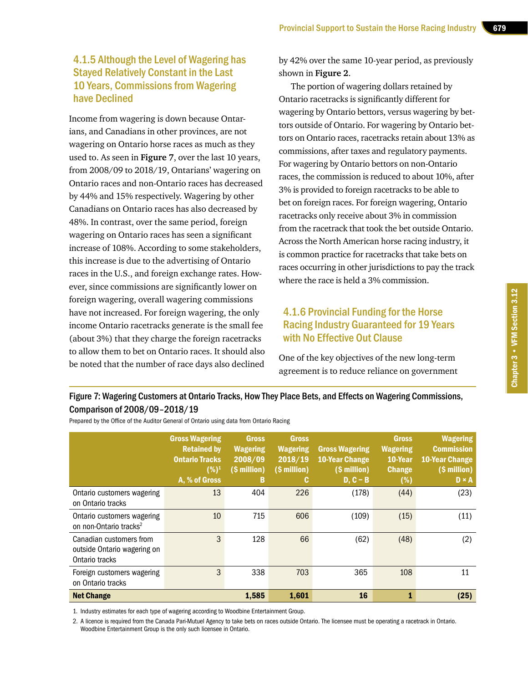### 4.1.5 Although the Level of Wagering has Stayed Relatively Constant in the Last 10 Years, Commissions from Wagering have Declined

Income from wagering is down because Ontarians, and Canadians in other provinces, are not wagering on Ontario horse races as much as they used to. As seen in **Figure 7**, over the last 10 years, from 2008/09 to 2018/19, Ontarians' wagering on Ontario races and non-Ontario races has decreased by 44% and 15% respectively. Wagering by other Canadians on Ontario races has also decreased by 48%. In contrast, over the same period, foreign wagering on Ontario races has seen a significant increase of 108%. According to some stakeholders, this increase is due to the advertising of Ontario races in the U.S., and foreign exchange rates. However, since commissions are significantly lower on foreign wagering, overall wagering commissions have not increased. For foreign wagering, the only income Ontario racetracks generate is the small fee (about 3%) that they charge the foreign racetracks to allow them to bet on Ontario races. It should also be noted that the number of race days also declined

by 42% over the same 10-year period, as previously shown in **Figure 2**.

The portion of wagering dollars retained by Ontario racetracks is significantly different for wagering by Ontario bettors, versus wagering by bettors outside of Ontario. For wagering by Ontario bettors on Ontario races, racetracks retain about 13% as commissions, after taxes and regulatory payments. For wagering by Ontario bettors on non-Ontario races, the commission is reduced to about 10%, after 3% is provided to foreign racetracks to be able to bet on foreign races. For foreign wagering, Ontario racetracks only receive about 3% in commission from the racetrack that took the bet outside Ontario. Across the North American horse racing industry, it is common practice for racetracks that take bets on races occurring in other jurisdictions to pay the track where the race is held a 3% commission.

### 4.1.6 Provincial Funding for the Horse Racing Industry Guaranteed for 19 Years with No Effective Out Clause

Chapter 3 • VFM Section 3.12

Chapter 3 • VFM Section 3.12

One of the key objectives of the new long-term agreement is to reduce reliance on government

### Figure 7: Wagering Customers at Ontario Tracks, How They Place Bets, and Effects on Wagering Commissions, Comparison of 2008/09–2018/19

|                                                                          | <b>Gross Wagering</b><br><b>Retained by</b><br><b>Ontario Tracks</b><br>$(%)^1$<br>A, % of Gross | <b>Gross</b><br><b>Wagering</b><br>2008/09<br>(\$ million)<br>B | <b>Gross</b><br><b>Wagering</b><br>2018/19<br>(\$ million)<br>C. | <b>Gross Wagering</b><br><b>10-Year Change</b><br>(\$ million)<br>$D, C - B$ | <b>Gross</b><br><b>Wagering</b><br>10-Year<br><b>Change</b><br>(%) | <b>Wagering</b><br>Commission<br><b>10-Year Change</b><br>(\$ million)<br>D × A |
|--------------------------------------------------------------------------|--------------------------------------------------------------------------------------------------|-----------------------------------------------------------------|------------------------------------------------------------------|------------------------------------------------------------------------------|--------------------------------------------------------------------|---------------------------------------------------------------------------------|
| Ontario customers wagering<br>on Ontario tracks                          | 13                                                                                               | 404                                                             | 226                                                              | (178)                                                                        | (44)                                                               | (23)                                                                            |
| Ontario customers wagering<br>on non-Ontario tracks <sup>2</sup>         | 10                                                                                               | 715                                                             | 606                                                              | (109)                                                                        | (15)                                                               | (11)                                                                            |
| Canadian customers from<br>outside Ontario wagering on<br>Ontario tracks | 3                                                                                                | 128                                                             | 66                                                               | (62)                                                                         | (48)                                                               | (2)                                                                             |
| Foreign customers wagering<br>on Ontario tracks                          | 3                                                                                                | 338                                                             | 703                                                              | 365                                                                          | 108                                                                | 11                                                                              |
| <b>Net Change</b>                                                        |                                                                                                  | 1,585                                                           | 1,601                                                            | 16                                                                           |                                                                    | (25)                                                                            |

Prepared by the Office of the Auditor General of Ontario using data from Ontario Racing

1. Industry estimates for each type of wagering according to Woodbine Entertainment Group.

2. A licence is required from the Canada Pari-Mutuel Agency to take bets on races outside Ontario. The licensee must be operating a racetrack in Ontario. Woodbine Entertainment Group is the only such licensee in Ontario.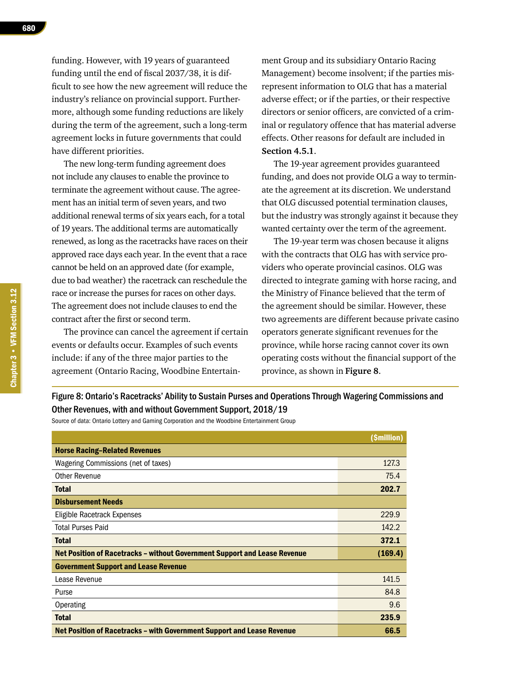funding. However, with 19 years of guaranteed funding until the end of fiscal 2037/38, it is difficult to see how the new agreement will reduce the industry's reliance on provincial support. Furthermore, although some funding reductions are likely during the term of the agreement, such a long-term agreement locks in future governments that could have different priorities.

The new long-term funding agreement does not include any clauses to enable the province to terminate the agreement without cause. The agreement has an initial term of seven years, and two additional renewal terms of six years each, for a total of 19 years. The additional terms are automatically renewed, as long as the racetracks have races on their approved race days each year. In the event that a race cannot be held on an approved date (for example, due to bad weather) the racetrack can reschedule the race or increase the purses for races on other days. The agreement does not include clauses to end the contract after the first or second term.

The province can cancel the agreement if certain events or defaults occur. Examples of such events include: if any of the three major parties to the agreement (Ontario Racing, Woodbine Entertainment Group and its subsidiary Ontario Racing Management) become insolvent; if the parties misrepresent information to OLG that has a material adverse effect; or if the parties, or their respective directors or senior officers, are convicted of a criminal or regulatory offence that has material adverse effects. Other reasons for default are included in **Section 4.5.1**.

The 19-year agreement provides guaranteed funding, and does not provide OLG a way to terminate the agreement at its discretion. We understand that OLG discussed potential termination clauses, but the industry was strongly against it because they wanted certainty over the term of the agreement.

The 19-year term was chosen because it aligns with the contracts that OLG has with service providers who operate provincial casinos. OLG was directed to integrate gaming with horse racing, and the Ministry of Finance believed that the term of the agreement should be similar. However, these two agreements are different because private casino operators generate significant revenues for the province, while horse racing cannot cover its own operating costs without the financial support of the province, as shown in **Figure 8**.

Figure 8: Ontario's Racetracks' Ability to Sustain Purses and Operations Through Wagering Commissions and Other Revenues, with and without Government Support, 2018/19

Source of data: Ontario Lottery and Gaming Corporation and the Woodbine Entertainment Group

|                                                                                  | (\$million) |
|----------------------------------------------------------------------------------|-------------|
| <b>Horse Racing-Related Revenues</b>                                             |             |
| Wagering Commissions (net of taxes)                                              | 127.3       |
| Other Revenue                                                                    | 75.4        |
| <b>Total</b>                                                                     | 202.7       |
| <b>Disbursement Needs</b>                                                        |             |
| Eligible Racetrack Expenses                                                      | 229.9       |
| <b>Total Purses Paid</b>                                                         | 142.2       |
| <b>Total</b>                                                                     | 372.1       |
| <b>Net Position of Racetracks - without Government Support and Lease Revenue</b> | (169.4)     |
| <b>Government Support and Lease Revenue</b>                                      |             |
| Lease Revenue                                                                    | 141.5       |
| Purse                                                                            | 84.8        |
| Operating                                                                        | 9.6         |
| <b>Total</b>                                                                     | 235.9       |
| Net Position of Racetracks – with Government Support and Lease Revenue           | 66.5        |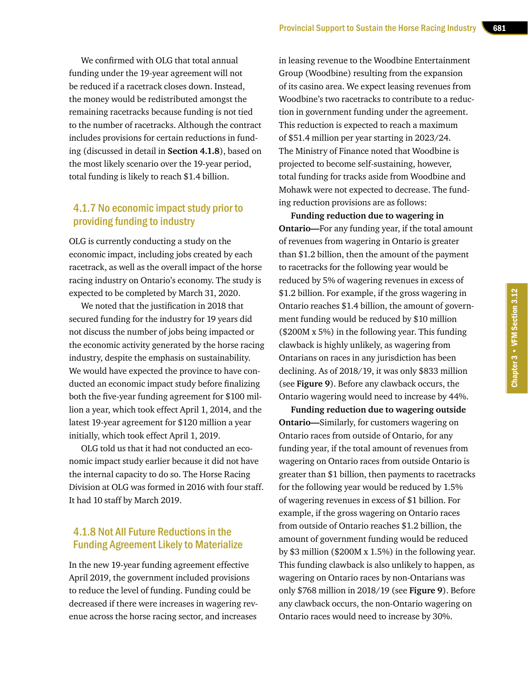We confirmed with OLG that total annual funding under the 19-year agreement will not be reduced if a racetrack closes down. Instead, the money would be redistributed amongst the remaining racetracks because funding is not tied to the number of racetracks. Although the contract includes provisions for certain reductions in funding (discussed in detail in **Section 4.1.8**), based on the most likely scenario over the 19-year period, total funding is likely to reach \$1.4 billion.

### 4.1.7 No economic impact study prior to providing funding to industry

OLG is currently conducting a study on the economic impact, including jobs created by each racetrack, as well as the overall impact of the horse racing industry on Ontario's economy. The study is expected to be completed by March 31, 2020.

We noted that the justification in 2018 that secured funding for the industry for 19 years did not discuss the number of jobs being impacted or the economic activity generated by the horse racing industry, despite the emphasis on sustainability. We would have expected the province to have conducted an economic impact study before finalizing both the five-year funding agreement for \$100 million a year, which took effect April 1, 2014, and the latest 19-year agreement for \$120 million a year initially, which took effect April 1, 2019.

OLG told us that it had not conducted an economic impact study earlier because it did not have the internal capacity to do so. The Horse Racing Division at OLG was formed in 2016 with four staff. It had 10 staff by March 2019.

### 4.1.8 Not All Future Reductions in the Funding Agreement Likely to Materialize

In the new 19-year funding agreement effective April 2019, the government included provisions to reduce the level of funding. Funding could be decreased if there were increases in wagering revenue across the horse racing sector, and increases

in leasing revenue to the Woodbine Entertainment Group (Woodbine) resulting from the expansion of its casino area. We expect leasing revenues from Woodbine's two racetracks to contribute to a reduction in government funding under the agreement. This reduction is expected to reach a maximum of \$51.4 million per year starting in 2023/24. The Ministry of Finance noted that Woodbine is projected to become self-sustaining, however, total funding for tracks aside from Woodbine and Mohawk were not expected to decrease. The funding reduction provisions are as follows:

**Funding reduction due to wagering in Ontario—**For any funding year, if the total amount of revenues from wagering in Ontario is greater than \$1.2 billion, then the amount of the payment to racetracks for the following year would be reduced by 5% of wagering revenues in excess of \$1.2 billion. For example, if the gross wagering in Ontario reaches \$1.4 billion, the amount of government funding would be reduced by \$10 million (\$200M x 5%) in the following year. This funding clawback is highly unlikely, as wagering from Ontarians on races in any jurisdiction has been declining. As of 2018/19, it was only \$833 million (see **Figure 9**). Before any clawback occurs, the Ontario wagering would need to increase by 44%.

**Funding reduction due to wagering outside Ontario—**Similarly, for customers wagering on Ontario races from outside of Ontario, for any funding year, if the total amount of revenues from wagering on Ontario races from outside Ontario is greater than \$1 billion, then payments to racetracks for the following year would be reduced by 1.5% of wagering revenues in excess of \$1 billion. For example, if the gross wagering on Ontario races from outside of Ontario reaches \$1.2 billion, the amount of government funding would be reduced by \$3 million (\$200M x 1.5%) in the following year. This funding clawback is also unlikely to happen, as wagering on Ontario races by non-Ontarians was only \$768 million in 2018/19 (see **Figure 9**). Before any clawback occurs, the non-Ontario wagering on Ontario races would need to increase by 30%.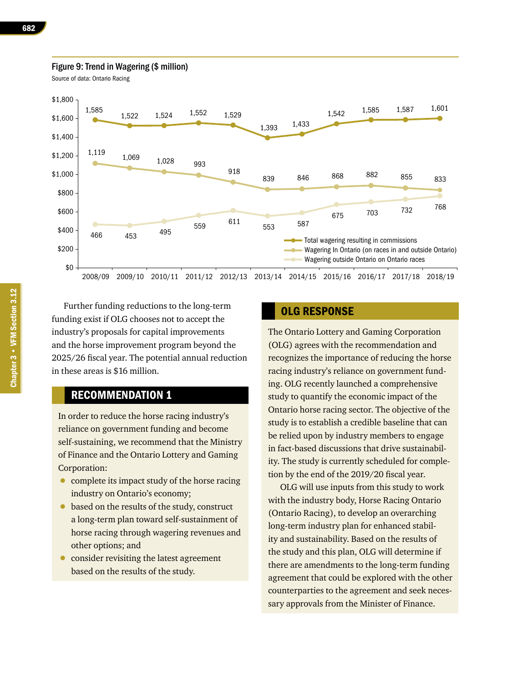### Figure 9: Trend in Wagering (\$ million)

Source of data: Ontario Racing



Further funding reductions to the long-term funding exist if OLG chooses not to accept the industry's proposals for capital improvements and the horse improvement program beyond the 2025/26 fiscal year. The potential annual reduction in these areas is \$16 million.

### RECOMMENDATION 1

In order to reduce the horse racing industry's reliance on government funding and become self-sustaining, we recommend that the Ministry of Finance and the Ontario Lottery and Gaming Corporation:

- complete its impact study of the horse racing industry on Ontario's economy;
- based on the results of the study, construct a long-term plan toward self-sustainment of horse racing through wagering revenues and other options; and
- consider revisiting the latest agreement based on the results of the study.

### OLG RESPONSE

The Ontario Lottery and Gaming Corporation (OLG) agrees with the recommendation and recognizes the importance of reducing the horse racing industry's reliance on government funding. OLG recently launched a comprehensive study to quantify the economic impact of the Ontario horse racing sector. The objective of the study is to establish a credible baseline that can be relied upon by industry members to engage in fact-based discussions that drive sustainability. The study is currently scheduled for completion by the end of the 2019/20 fiscal year.

OLG will use inputs from this study to work with the industry body, Horse Racing Ontario (Ontario Racing), to develop an overarching long-term industry plan for enhanced stability and sustainability. Based on the results of the study and this plan, OLG will determine if there are amendments to the long-term funding agreement that could be explored with the other counterparties to the agreement and seek necessary approvals from the Minister of Finance.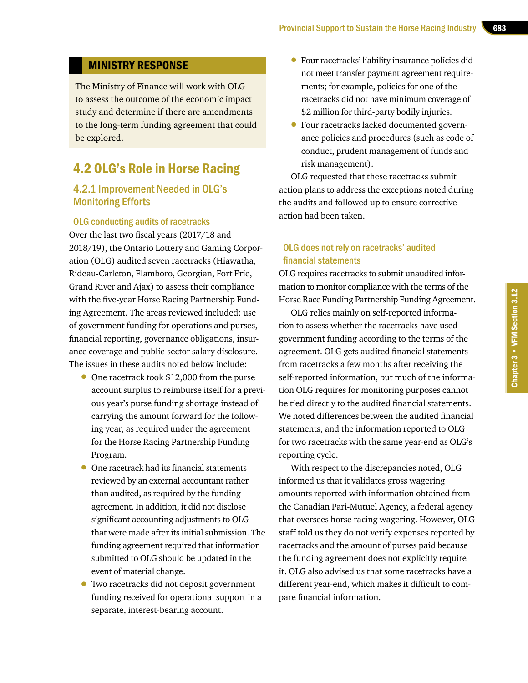### MINISTRY RESPONSE

The Ministry of Finance will work with OLG to assess the outcome of the economic impact study and determine if there are amendments to the long-term funding agreement that could be explored.

### 4.2 OLG's Role in Horse Racing

### 4.2.1 Improvement Needed in OLG's Monitoring Efforts

### OLG conducting audits of racetracks

Over the last two fiscal years (2017/18 and 2018/19), the Ontario Lottery and Gaming Corporation (OLG) audited seven racetracks (Hiawatha, Rideau-Carleton, Flamboro, Georgian, Fort Erie, Grand River and Ajax) to assess their compliance with the five-year Horse Racing Partnership Funding Agreement. The areas reviewed included: use of government funding for operations and purses, financial reporting, governance obligations, insurance coverage and public-sector salary disclosure. The issues in these audits noted below include:

- One racetrack took \$12,000 from the purse account surplus to reimburse itself for a previous year's purse funding shortage instead of carrying the amount forward for the following year, as required under the agreement for the Horse Racing Partnership Funding Program.
- One racetrack had its financial statements reviewed by an external accountant rather than audited, as required by the funding agreement. In addition, it did not disclose significant accounting adjustments to OLG that were made after its initial submission. The funding agreement required that information submitted to OLG should be updated in the event of material change.
- Two racetracks did not deposit government funding received for operational support in a separate, interest-bearing account.
- Four racetracks' liability insurance policies did not meet transfer payment agreement requirements; for example, policies for one of the racetracks did not have minimum coverage of \$2 million for third-party bodily injuries.
- Four racetracks lacked documented governance policies and procedures (such as code of conduct, prudent management of funds and risk management).

OLG requested that these racetracks submit action plans to address the exceptions noted during the audits and followed up to ensure corrective action had been taken.

### OLG does not rely on racetracks' audited financial statements

OLG requires racetracks to submit unaudited information to monitor compliance with the terms of the Horse Race Funding Partnership Funding Agreement.

OLG relies mainly on self-reported information to assess whether the racetracks have used government funding according to the terms of the agreement. OLG gets audited financial statements from racetracks a few months after receiving the self-reported information, but much of the information OLG requires for monitoring purposes cannot be tied directly to the audited financial statements. We noted differences between the audited financial statements, and the information reported to OLG for two racetracks with the same year-end as OLG's reporting cycle.

With respect to the discrepancies noted, OLG informed us that it validates gross wagering amounts reported with information obtained from the Canadian Pari-Mutuel Agency, a federal agency that oversees horse racing wagering. However, OLG staff told us they do not verify expenses reported by racetracks and the amount of purses paid because the funding agreement does not explicitly require it. OLG also advised us that some racetracks have a different year-end, which makes it difficult to compare financial information.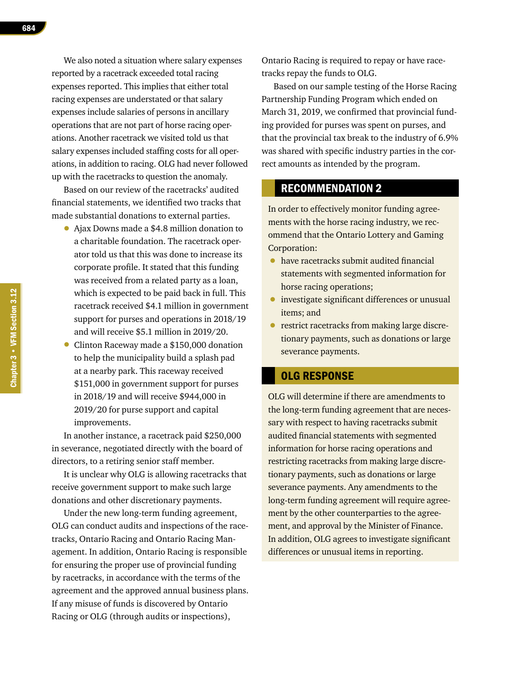We also noted a situation where salary expenses reported by a racetrack exceeded total racing expenses reported. This implies that either total racing expenses are understated or that salary expenses include salaries of persons in ancillary operations that are not part of horse racing operations. Another racetrack we visited told us that salary expenses included staffing costs for all operations, in addition to racing. OLG had never followed up with the racetracks to question the anomaly.

Based on our review of the racetracks' audited financial statements, we identified two tracks that made substantial donations to external parties.

- Ajax Downs made a \$4.8 million donation to a charitable foundation. The racetrack operator told us that this was done to increase its corporate profile. It stated that this funding was received from a related party as a loan, which is expected to be paid back in full. This racetrack received \$4.1 million in government support for purses and operations in 2018/19 and will receive \$5.1 million in 2019/20.
- Clinton Raceway made a \$150,000 donation to help the municipality build a splash pad at a nearby park. This raceway received \$151,000 in government support for purses in 2018/19 and will receive \$944,000 in 2019/20 for purse support and capital improvements.

In another instance, a racetrack paid \$250,000 in severance, negotiated directly with the board of directors, to a retiring senior staff member.

It is unclear why OLG is allowing racetracks that receive government support to make such large donations and other discretionary payments.

Under the new long-term funding agreement, OLG can conduct audits and inspections of the racetracks, Ontario Racing and Ontario Racing Management. In addition, Ontario Racing is responsible for ensuring the proper use of provincial funding by racetracks, in accordance with the terms of the agreement and the approved annual business plans. If any misuse of funds is discovered by Ontario Racing or OLG (through audits or inspections),

Ontario Racing is required to repay or have racetracks repay the funds to OLG.

Based on our sample testing of the Horse Racing Partnership Funding Program which ended on March 31, 2019, we confirmed that provincial funding provided for purses was spent on purses, and that the provincial tax break to the industry of 6.9% was shared with specific industry parties in the correct amounts as intended by the program.

### RECOMMENDATION 2

In order to effectively monitor funding agreements with the horse racing industry, we recommend that the Ontario Lottery and Gaming Corporation:

- have racetracks submit audited financial statements with segmented information for horse racing operations;
- investigate significant differences or unusual items; and
- restrict racetracks from making large discretionary payments, such as donations or large severance payments.

### OLG RESPONSE

OLG will determine if there are amendments to the long-term funding agreement that are necessary with respect to having racetracks submit audited financial statements with segmented information for horse racing operations and restricting racetracks from making large discretionary payments, such as donations or large severance payments. Any amendments to the long-term funding agreement will require agreement by the other counterparties to the agreement, and approval by the Minister of Finance. In addition, OLG agrees to investigate significant differences or unusual items in reporting.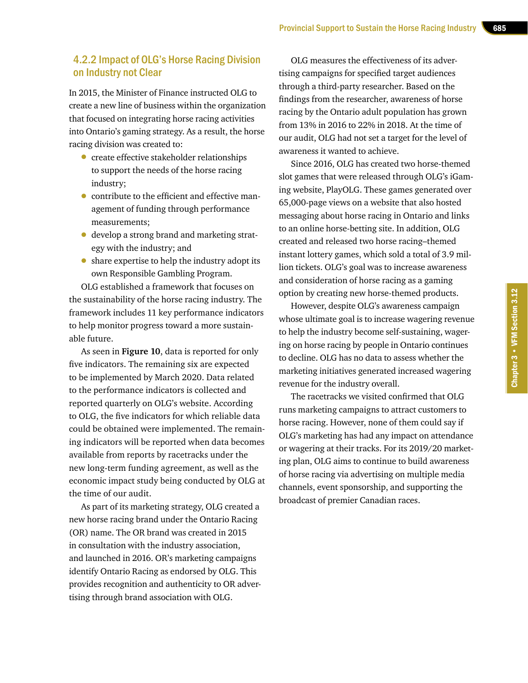### 4.2.2 Impact of OLG's Horse Racing Division on Industry not Clear

In 2015, the Minister of Finance instructed OLG to create a new line of business within the organization that focused on integrating horse racing activities into Ontario's gaming strategy. As a result, the horse racing division was created to:

- create effective stakeholder relationships to support the needs of the horse racing industry;
- contribute to the efficient and effective management of funding through performance measurements;
- develop a strong brand and marketing strategy with the industry; and
- share expertise to help the industry adopt its own Responsible Gambling Program.

OLG established a framework that focuses on the sustainability of the horse racing industry. The framework includes 11 key performance indicators to help monitor progress toward a more sustainable future.

As seen in **Figure 10**, data is reported for only five indicators. The remaining six are expected to be implemented by March 2020. Data related to the performance indicators is collected and reported quarterly on OLG's website. According to OLG, the five indicators for which reliable data could be obtained were implemented. The remaining indicators will be reported when data becomes available from reports by racetracks under the new long-term funding agreement, as well as the economic impact study being conducted by OLG at the time of our audit.

As part of its marketing strategy, OLG created a new horse racing brand under the Ontario Racing (OR) name. The OR brand was created in 2015 in consultation with the industry association, and launched in 2016. OR's marketing campaigns identify Ontario Racing as endorsed by OLG. This provides recognition and authenticity to OR advertising through brand association with OLG.

OLG measures the effectiveness of its advertising campaigns for specified target audiences through a third-party researcher. Based on the findings from the researcher, awareness of horse racing by the Ontario adult population has grown from 13% in 2016 to 22% in 2018. At the time of our audit, OLG had not set a target for the level of awareness it wanted to achieve.

Since 2016, OLG has created two horse-themed slot games that were released through OLG's iGaming website, PlayOLG. These games generated over 65,000-page views on a website that also hosted messaging about horse racing in Ontario and links to an online horse-betting site. In addition, OLG created and released two horse racing–themed instant lottery games, which sold a total of 3.9 million tickets. OLG's goal was to increase awareness and consideration of horse racing as a gaming option by creating new horse-themed products.

However, despite OLG's awareness campaign whose ultimate goal is to increase wagering revenue to help the industry become self-sustaining, wagering on horse racing by people in Ontario continues to decline. OLG has no data to assess whether the marketing initiatives generated increased wagering revenue for the industry overall.

The racetracks we visited confirmed that OLG runs marketing campaigns to attract customers to horse racing. However, none of them could say if OLG's marketing has had any impact on attendance or wagering at their tracks. For its 2019/20 marketing plan, OLG aims to continue to build awareness of horse racing via advertising on multiple media channels, event sponsorship, and supporting the broadcast of premier Canadian races.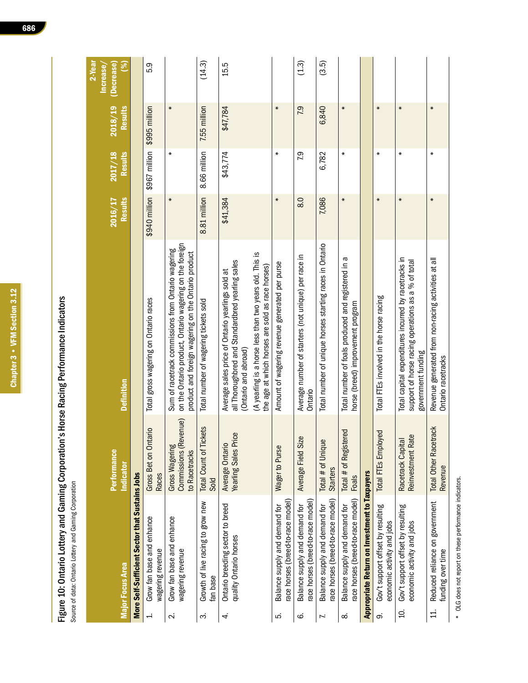| ׇֺ֚֕        |
|-------------|
|             |
| I<br>í      |
|             |
|             |
| I<br>l<br>ı |
|             |
|             |
| ľ           |
|             |
|             |
| r<br>۰      |
|             |
| I           |
|             |
| ׇ֚֡֡        |
|             |
| l           |
|             |
|             |
|             |
| r           |
|             |
| I           |
|             |
|             |
|             |
|             |
| I           |
|             |
|             |
| ֺ֚<br>ׇ֒    |
| Ĵ           |
|             |
|             |
| l           |
| r           |
|             |
|             |
| i           |
|             |
|             |
| í           |
| ׇ֒          |

Figure 10: Ontario Lottery and Gaming Corporation's Horse Racing Performance Indicators<br>Source of data: Ontario Lottery and Gaming Corporation Figure 10: Ontario Lottery and Gaming Corporation's Horse Racing Performance Indicators

Source of data: Ontario Lottery and Gaming Corporation

|                  |                                                                    |                                                                 |                                                                                                                                                                      |                           |                           |                           | 2-Year<br>Increase |
|------------------|--------------------------------------------------------------------|-----------------------------------------------------------------|----------------------------------------------------------------------------------------------------------------------------------------------------------------------|---------------------------|---------------------------|---------------------------|--------------------|
|                  | <b>Major Focus Area</b>                                            | <b>Performance</b><br>Indicator                                 | <b>Definition</b>                                                                                                                                                    | <b>Results</b><br>2016/17 | 2017/18<br><b>Results</b> | <b>Results</b><br>2018/19 | (%)<br>(Decrease)  |
|                  | More Self-Sufficient Sector that Sustains Jobs                     |                                                                 |                                                                                                                                                                      |                           |                           |                           |                    |
| ÷                | Grow fan base and enhance<br>wagering revenue                      | Gross Bet on Ontario<br><b>Races</b>                            | Total gross wagering on Ontario races                                                                                                                                | \$940 million             | \$967 million             | \$995 million             | 5.9                |
| $\sim$           | Grow fan base and enhance<br>wagering revenue                      | Commissions (Revenue)<br><b>Gross Wagering</b><br>to Racetracks | on the Ontario product, Ontario wagering on the foreign<br>Sum of racetrack commissions from Ontario wagering<br>product and foreign wagering on the Ontario product | $\ast$                    | ∗                         | $\ast$                    |                    |
| က                | Growth of live racing to grow new<br>fan base                      | <b>Total Count of Tickets</b><br>Sold                           | Total number of wagering tickets sold                                                                                                                                | 8.81 million              | 8.66 million              | 7.55 million              | (14.3)             |
| 4                | Ontario breeding sector to breed<br>quality Ontario horses         | Average Ontario<br>Yearling Sales Price                         | all Thoroughbred and Standardbred yearling sales<br>Average sales price of Ontario yearlings sold at<br>(Ontario and abroad)                                         | \$41,384                  | \$43,774                  | \$47,784                  | 15.5               |
|                  |                                                                    |                                                                 | (A yearling is a horse less than two years old. This is<br>the age at which horses are sold as race horses)                                                          |                           |                           |                           |                    |
| ιó.              | ace horses (breed-to-race model)<br>Balance supply and demand for  | Wager to Purse                                                  | Amount of wagering revenue generated per purse                                                                                                                       | $\ast$                    | $\ast$                    | $\ast$                    |                    |
| ق                | race horses (breed-to-race model<br>Balance supply and demand for  | Average Field Size                                              | Average number of starters (not unique) per race in<br>Ontario                                                                                                       | 8.0                       | 79                        | 7.9                       | (1.3)              |
| Z.               | race horses (breed-to-race model)<br>Balance supply and demand for | Total # of Unique<br><b>Starters</b>                            | Total number of unique horses starting races in Ontario                                                                                                              | 7,086                     | 6,782                     | 6,840                     | (3.5)              |
| ∞                | race horses (breed-to-race model)<br>Balance supply and demand for | Total # of Registered<br>Foals                                  | Total number of foals produced and registered in a<br>horse (breed) improvement program                                                                              | $\ast$                    | ∗                         | $\ast$                    |                    |
|                  | Appropriate Return on Investment to Taxpayers                      |                                                                 |                                                                                                                                                                      |                           |                           |                           |                    |
| တ                | Gov't support offset by resulting<br>economic activity and jobs    | <b>Total FTEs Employed</b>                                      | Total FTEs involved in the horse racing                                                                                                                              | $\ast$                    | ∗                         | $\ast$                    |                    |
| S.               | Gov't support offset by resulting<br>economic activity and jobs    | Reinvestment Rate<br>Racetrack Capital                          | Total capital expenditures incurred by racetracks in<br>support of horse racing operations as a % of total<br>government funding                                     | $\ast$                    | ∗                         | $\ast$                    |                    |
| $\overline{1}$ . | Reduced reliance on government<br>funding over time                | <b>Total Other Racetrack</b><br>Revenue                         | Revenue generated from non-racing activities at all<br>Ontario racetracks                                                                                            | $\ast$                    | ₩                         | $\ast$                    |                    |

\* OLG does not report on these performance indicators. OLG does not report on these performance indicators.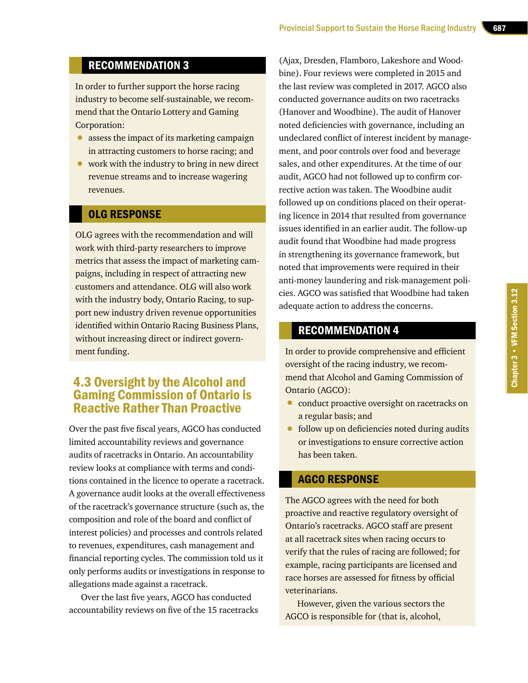### RECOMMENDATION 3

In order to further support the horse racing industry to become self-sustainable, we recommend that the Ontario Lottery and Gaming Corporation:

- assess the impact of its marketing campaign in attracting customers to horse racing; and
- work with the industry to bring in new direct revenue streams and to increase wagering revenues.

### OLG RESPONSE

OLG agrees with the recommendation and will work with third-party researchers to improve metrics that assess the impact of marketing campaigns, including in respect of attracting new customers and attendance. OLG will also work with the industry body, Ontario Racing, to support new industry driven revenue opportunities identified within Ontario Racing Business Plans, without increasing direct or indirect government funding.

### 4.3 Oversight by the Alcohol and Gaming Commission of Ontario is Reactive Rather Than Proactive

Over the past five fiscal years, AGCO has conducted limited accountability reviews and governance audits of racetracks in Ontario. An accountability review looks at compliance with terms and conditions contained in the licence to operate a racetrack. A governance audit looks at the overall effectiveness of the racetrack's governance structure (such as, the composition and role of the board and conflict of interest policies) and processes and controls related to revenues, expenditures, cash management and financial reporting cycles. The commission told us it only performs audits or investigations in response to allegations made against a racetrack.

Over the last five years, AGCO has conducted accountability reviews on five of the 15 racetracks

(Ajax, Dresden, Flamboro, Lakeshore and Woodbine). Four reviews were completed in 2015 and the last review was completed in 2017. AGCO also conducted governance audits on two racetracks (Hanover and Woodbine). The audit of Hanover noted deficiencies with governance, including an undeclared conflict of interest incident by management, and poor controls over food and beverage sales, and other expenditures. At the time of our audit, AGCO had not followed up to confirm corrective action was taken. The Woodbine audit followed up on conditions placed on their operating licence in 2014 that resulted from governance issues identified in an earlier audit. The follow-up audit found that Woodbine had made progress in strengthening its governance framework, but noted that improvements were required in their anti-money laundering and risk-management policies. AGCO was satisfied that Woodbine had taken adequate action to address the concerns.

### RECOMMENDATION 4

In order to provide comprehensive and efficient oversight of the racing industry, we recommend that Alcohol and Gaming Commission of Ontario (AGCO):

- conduct proactive oversight on racetracks on a regular basis; and
- follow up on deficiencies noted during audits or investigations to ensure corrective action has been taken.

### AGCO RESPONSE

The AGCO agrees with the need for both proactive and reactive regulatory oversight of Ontario's racetracks. AGCO staff are present at all racetrack sites when racing occurs to verify that the rules of racing are followed; for example, racing participants are licensed and race horses are assessed for fitness by official veterinarians.

However, given the various sectors the AGCO is responsible for (that is, alcohol,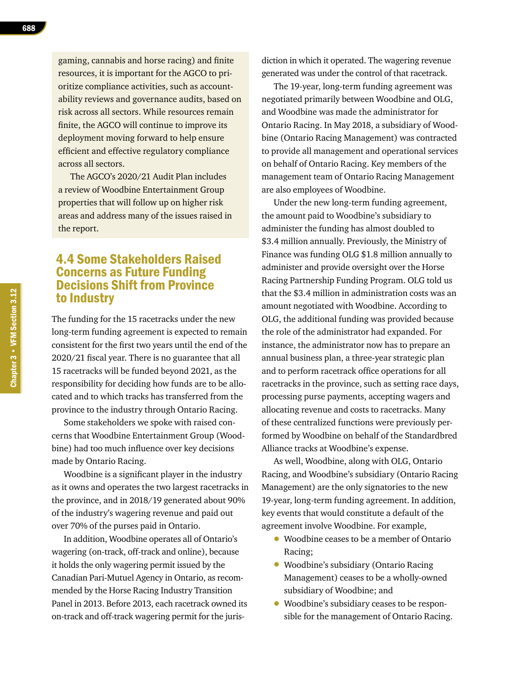gaming, cannabis and horse racing) and finite resources, it is important for the AGCO to prioritize compliance activities, such as accountability reviews and governance audits, based on risk across all sectors. While resources remain finite, the AGCO will continue to improve its deployment moving forward to help ensure efficient and effective regulatory compliance across all sectors.

The AGCO's 2020/21 Audit Plan includes a review of Woodbine Entertainment Group properties that will follow up on higher risk areas and address many of the issues raised in the report.

### 4.4 Some Stakeholders Raised Concerns as Future Funding Decisions Shift from Province to Industry

The funding for the 15 racetracks under the new long-term funding agreement is expected to remain consistent for the first two years until the end of the 2020/21 fiscal year. There is no guarantee that all 15 racetracks will be funded beyond 2021, as the responsibility for deciding how funds are to be allocated and to which tracks has transferred from the province to the industry through Ontario Racing.

Some stakeholders we spoke with raised concerns that Woodbine Entertainment Group (Woodbine) had too much influence over key decisions made by Ontario Racing.

Woodbine is a significant player in the industry as it owns and operates the two largest racetracks in the province, and in 2018/19 generated about 90% of the industry's wagering revenue and paid out over 70% of the purses paid in Ontario.

In addition, Woodbine operates all of Ontario's wagering (on-track, off-track and online), because it holds the only wagering permit issued by the Canadian Pari-Mutuel Agency in Ontario, as recommended by the Horse Racing Industry Transition Panel in 2013. Before 2013, each racetrack owned its on-track and off-track wagering permit for the jurisdiction in which it operated. The wagering revenue generated was under the control of that racetrack.

The 19-year, long-term funding agreement was negotiated primarily between Woodbine and OLG, and Woodbine was made the administrator for Ontario Racing. In May 2018, a subsidiary of Woodbine (Ontario Racing Management) was contracted to provide all management and operational services on behalf of Ontario Racing. Key members of the management team of Ontario Racing Management are also employees of Woodbine.

Under the new long-term funding agreement, the amount paid to Woodbine's subsidiary to administer the funding has almost doubled to \$3.4 million annually. Previously, the Ministry of Finance was funding OLG \$1.8 million annually to administer and provide oversight over the Horse Racing Partnership Funding Program. OLG told us that the \$3.4 million in administration costs was an amount negotiated with Woodbine. According to OLG, the additional funding was provided because the role of the administrator had expanded. For instance, the administrator now has to prepare an annual business plan, a three-year strategic plan and to perform racetrack office operations for all racetracks in the province, such as setting race days, processing purse payments, accepting wagers and allocating revenue and costs to racetracks. Many of these centralized functions were previously performed by Woodbine on behalf of the Standardbred Alliance tracks at Woodbine's expense.

As well, Woodbine, along with OLG, Ontario Racing, and Woodbine's subsidiary (Ontario Racing Management) are the only signatories to the new 19-year, long-term funding agreement. In addition, key events that would constitute a default of the agreement involve Woodbine. For example,

- Woodbine ceases to be a member of Ontario Racing;
- Woodbine's subsidiary (Ontario Racing Management) ceases to be a wholly-owned subsidiary of Woodbine; and
- Woodbine's subsidiary ceases to be responsible for the management of Ontario Racing.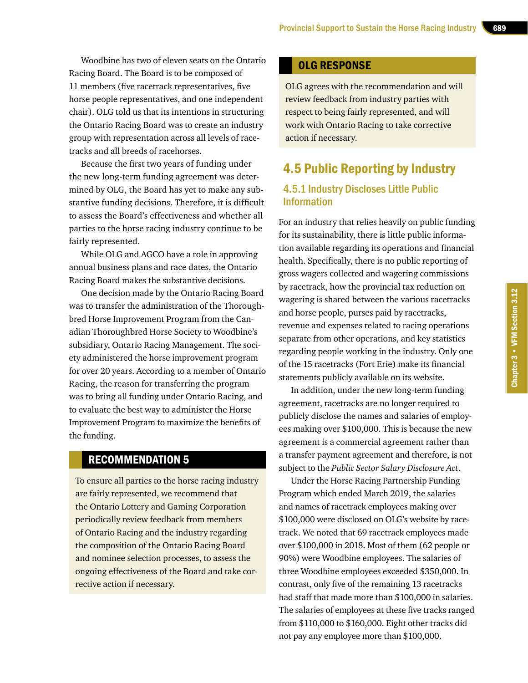Woodbine has two of eleven seats on the Ontario Racing Board. The Board is to be composed of 11 members (five racetrack representatives, five horse people representatives, and one independent chair). OLG told us that its intentions in structuring the Ontario Racing Board was to create an industry group with representation across all levels of racetracks and all breeds of racehorses.

Because the first two years of funding under the new long-term funding agreement was determined by OLG, the Board has yet to make any substantive funding decisions. Therefore, it is difficult to assess the Board's effectiveness and whether all parties to the horse racing industry continue to be fairly represented.

While OLG and AGCO have a role in approving annual business plans and race dates, the Ontario Racing Board makes the substantive decisions.

One decision made by the Ontario Racing Board was to transfer the administration of the Thoroughbred Horse Improvement Program from the Canadian Thoroughbred Horse Society to Woodbine's subsidiary, Ontario Racing Management. The society administered the horse improvement program for over 20 years. According to a member of Ontario Racing, the reason for transferring the program was to bring all funding under Ontario Racing, and to evaluate the best way to administer the Horse Improvement Program to maximize the benefits of the funding.

### RECOMMENDATION 5

To ensure all parties to the horse racing industry are fairly represented, we recommend that the Ontario Lottery and Gaming Corporation periodically review feedback from members of Ontario Racing and the industry regarding the composition of the Ontario Racing Board and nominee selection processes, to assess the ongoing effectiveness of the Board and take corrective action if necessary.

### OLG RESPONSE

OLG agrees with the recommendation and will review feedback from industry parties with respect to being fairly represented, and will work with Ontario Racing to take corrective action if necessary.

### 4.5 Public Reporting by Industry

### 4.5.1 Industry Discloses Little Public Information

For an industry that relies heavily on public funding for its sustainability, there is little public information available regarding its operations and financial health. Specifically, there is no public reporting of gross wagers collected and wagering commissions by racetrack, how the provincial tax reduction on wagering is shared between the various racetracks and horse people, purses paid by racetracks, revenue and expenses related to racing operations separate from other operations, and key statistics regarding people working in the industry. Only one of the 15 racetracks (Fort Erie) make its financial statements publicly available on its website.

In addition, under the new long-term funding agreement, racetracks are no longer required to publicly disclose the names and salaries of employees making over \$100,000. This is because the new agreement is a commercial agreement rather than a transfer payment agreement and therefore, is not subject to the *Public Sector Salary Disclosure Act*.

Under the Horse Racing Partnership Funding Program which ended March 2019, the salaries and names of racetrack employees making over \$100,000 were disclosed on OLG's website by racetrack. We noted that 69 racetrack employees made over \$100,000 in 2018. Most of them (62 people or 90%) were Woodbine employees. The salaries of three Woodbine employees exceeded \$350,000. In contrast, only five of the remaining 13 racetracks had staff that made more than \$100,000 in salaries. The salaries of employees at these five tracks ranged from \$110,000 to \$160,000. Eight other tracks did not pay any employee more than \$100,000.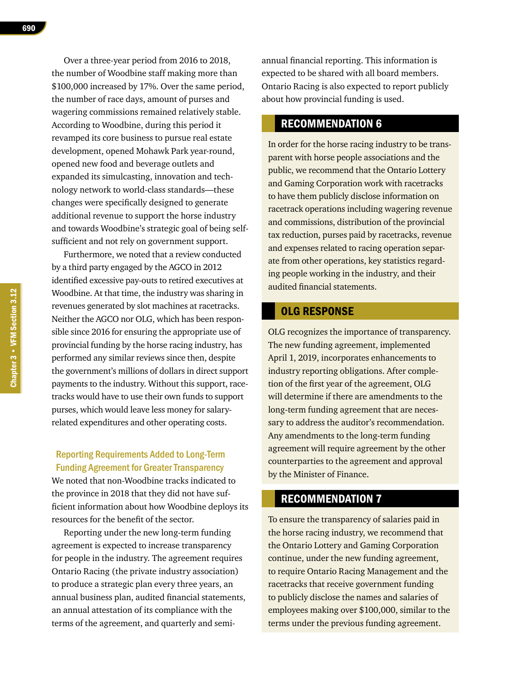Over a three-year period from 2016 to 2018, the number of Woodbine staff making more than \$100,000 increased by 17%. Over the same period, the number of race days, amount of purses and wagering commissions remained relatively stable. According to Woodbine, during this period it revamped its core business to pursue real estate development, opened Mohawk Park year-round, opened new food and beverage outlets and expanded its simulcasting, innovation and technology network to world-class standards—these changes were specifically designed to generate additional revenue to support the horse industry and towards Woodbine's strategic goal of being selfsufficient and not rely on government support.

Furthermore, we noted that a review conducted by a third party engaged by the AGCO in 2012 identified excessive pay-outs to retired executives at Woodbine. At that time, the industry was sharing in revenues generated by slot machines at racetracks. Neither the AGCO nor OLG, which has been responsible since 2016 for ensuring the appropriate use of provincial funding by the horse racing industry, has performed any similar reviews since then, despite the government's millions of dollars in direct support payments to the industry. Without this support, racetracks would have to use their own funds to support purses, which would leave less money for salaryrelated expenditures and other operating costs.

### Reporting Requirements Added to Long-Term Funding Agreement for Greater Transparency

We noted that non-Woodbine tracks indicated to the province in 2018 that they did not have sufficient information about how Woodbine deploys its resources for the benefit of the sector.

Reporting under the new long-term funding agreement is expected to increase transparency for people in the industry. The agreement requires Ontario Racing (the private industry association) to produce a strategic plan every three years, an annual business plan, audited financial statements, an annual attestation of its compliance with the terms of the agreement, and quarterly and semiannual financial reporting. This information is expected to be shared with all board members. Ontario Racing is also expected to report publicly about how provincial funding is used.

### RECOMMENDATION 6

In order for the horse racing industry to be transparent with horse people associations and the public, we recommend that the Ontario Lottery and Gaming Corporation work with racetracks to have them publicly disclose information on racetrack operations including wagering revenue and commissions, distribution of the provincial tax reduction, purses paid by racetracks, revenue and expenses related to racing operation separate from other operations, key statistics regarding people working in the industry, and their audited financial statements.

### OLG RESPONSE

OLG recognizes the importance of transparency. The new funding agreement, implemented April 1, 2019, incorporates enhancements to industry reporting obligations. After completion of the first year of the agreement, OLG will determine if there are amendments to the long-term funding agreement that are necessary to address the auditor's recommendation. Any amendments to the long-term funding agreement will require agreement by the other counterparties to the agreement and approval by the Minister of Finance.

### RECOMMENDATION 7

To ensure the transparency of salaries paid in the horse racing industry, we recommend that the Ontario Lottery and Gaming Corporation continue, under the new funding agreement, to require Ontario Racing Management and the racetracks that receive government funding to publicly disclose the names and salaries of employees making over \$100,000, similar to the terms under the previous funding agreement.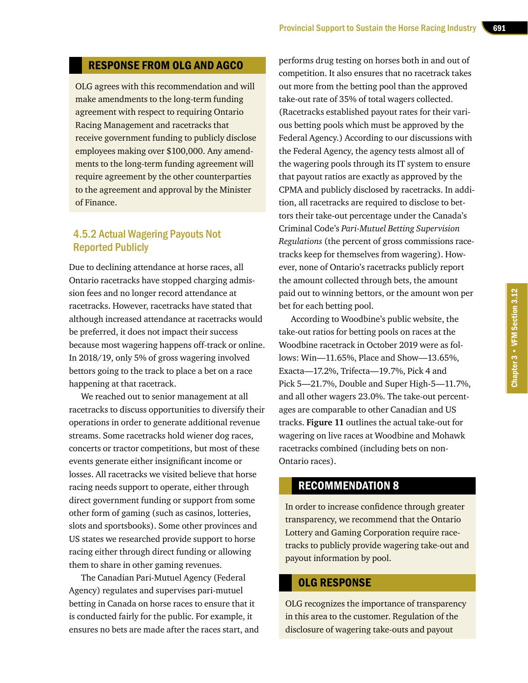### RESPONSE FROM OLG AND AGCO

OLG agrees with this recommendation and will make amendments to the long-term funding agreement with respect to requiring Ontario Racing Management and racetracks that receive government funding to publicly disclose employees making over \$100,000. Any amendments to the long-term funding agreement will require agreement by the other counterparties to the agreement and approval by the Minister of Finance.

### 4.5.2 Actual Wagering Payouts Not Reported Publicly

Due to declining attendance at horse races, all Ontario racetracks have stopped charging admission fees and no longer record attendance at racetracks. However, racetracks have stated that although increased attendance at racetracks would be preferred, it does not impact their success because most wagering happens off-track or online. In 2018/19, only 5% of gross wagering involved bettors going to the track to place a bet on a race happening at that racetrack.

We reached out to senior management at all racetracks to discuss opportunities to diversify their operations in order to generate additional revenue streams. Some racetracks hold wiener dog races, concerts or tractor competitions, but most of these events generate either insignificant income or losses. All racetracks we visited believe that horse racing needs support to operate, either through direct government funding or support from some other form of gaming (such as casinos, lotteries, slots and sportsbooks). Some other provinces and US states we researched provide support to horse racing either through direct funding or allowing them to share in other gaming revenues.

The Canadian Pari-Mutuel Agency (Federal Agency) regulates and supervises pari-mutuel betting in Canada on horse races to ensure that it is conducted fairly for the public. For example, it ensures no bets are made after the races start, and

performs drug testing on horses both in and out of competition. It also ensures that no racetrack takes out more from the betting pool than the approved take-out rate of 35% of total wagers collected. (Racetracks established payout rates for their various betting pools which must be approved by the Federal Agency.) According to our discussions with the Federal Agency, the agency tests almost all of the wagering pools through its IT system to ensure that payout ratios are exactly as approved by the CPMA and publicly disclosed by racetracks. In addition, all racetracks are required to disclose to bettors their take-out percentage under the Canada's Criminal Code's *Pari-Mutuel Betting Supervision Regulations* (the percent of gross commissions racetracks keep for themselves from wagering). However, none of Ontario's racetracks publicly report the amount collected through bets, the amount paid out to winning bettors, or the amount won per bet for each betting pool.

According to Woodbine's public website, the take-out ratios for betting pools on races at the Woodbine racetrack in October 2019 were as follows: Win—11.65%, Place and Show—13.65%, Exacta—17.2%, Trifecta—19.7%, Pick 4 and Pick 5—21.7%, Double and Super High-5—11.7%, and all other wagers 23.0%. The take-out percentages are comparable to other Canadian and US tracks. **Figure 11** outlines the actual take-out for wagering on live races at Woodbine and Mohawk racetracks combined (including bets on non-Ontario races).

### RECOMMENDATION 8

In order to increase confidence through greater transparency, we recommend that the Ontario Lottery and Gaming Corporation require racetracks to publicly provide wagering take-out and payout information by pool.

### OLG RESPONSE

OLG recognizes the importance of transparency in this area to the customer. Regulation of the disclosure of wagering take-outs and payout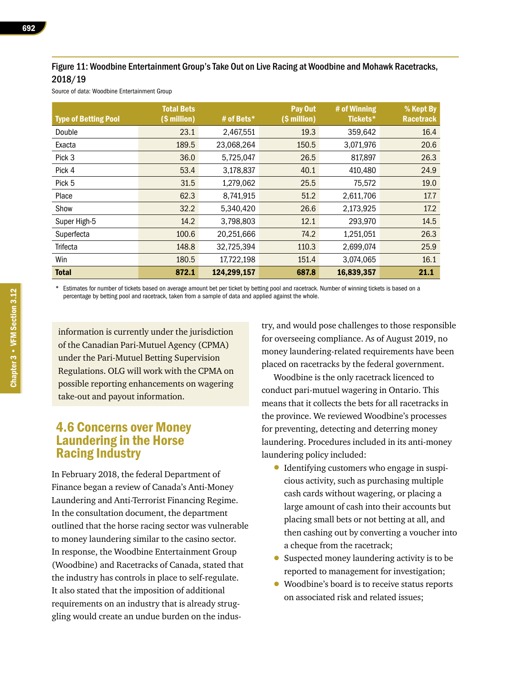### Figure 11: Woodbine Entertainment Group's Take Out on Live Racing at Woodbine and Mohawk Racetracks, 2018/19

Source of data: Woodbine Entertainment Group

| <b>Type of Betting Pool</b> | <b>Total Bets</b><br>(\$ million) | # of Bets*  | Pay Out<br>(\$ million) | # of Winning<br>Tickets* | $%$ Kept By<br><b>Racetrack</b> |
|-----------------------------|-----------------------------------|-------------|-------------------------|--------------------------|---------------------------------|
| Double                      | 23.1                              | 2,467,551   | 19.3                    | 359,642                  | 16.4                            |
| Exacta                      | 189.5                             | 23,068,264  | 150.5                   | 3,071,976                | 20.6                            |
| Pick 3                      | 36.0                              | 5,725,047   | 26.5                    | 817,897                  | 26.3                            |
| Pick 4                      | 53.4                              | 3,178,837   | 40.1                    | 410,480                  | 24.9                            |
| Pick 5                      | 31.5                              | 1,279,062   | 25.5                    | 75,572                   | 19.0                            |
| Place                       | 62.3                              | 8,741,915   | 51.2                    | 2,611,706                | 17.7                            |
| Show                        | 32.2                              | 5,340,420   | 26.6                    | 2,173,925                | 17.2                            |
| Super High-5                | 14.2                              | 3,798,803   | 12.1                    | 293,970                  | 14.5                            |
| Superfecta                  | 100.6                             | 20,251,666  | 74.2                    | 1,251,051                | 26.3                            |
| Trifecta                    | 148.8                             | 32,725,394  | 110.3                   | 2,699,074                | 25.9                            |
| Win                         | 180.5                             | 17,722,198  | 151.4                   | 3,074,065                | 16.1                            |
| <b>Total</b>                | 872.1                             | 124,299,157 | 687.8                   | 16,839,357               | 21.1                            |

\* Estimates for number of tickets based on average amount bet per ticket by betting pool and racetrack. Number of winning tickets is based on a percentage by betting pool and racetrack, taken from a sample of data and applied against the whole.

information is currently under the jurisdiction of the Canadian Pari-Mutuel Agency (CPMA) under the Pari-Mutuel Betting Supervision Regulations. OLG will work with the CPMA on possible reporting enhancements on wagering take-out and payout information.

### 4.6 Concerns over Money Laundering in the Horse Racing Industry

In February 2018, the federal Department of Finance began a review of Canada's Anti-Money Laundering and Anti-Terrorist Financing Regime. In the consultation document, the department outlined that the horse racing sector was vulnerable to money laundering similar to the casino sector. In response, the Woodbine Entertainment Group (Woodbine) and Racetracks of Canada, stated that the industry has controls in place to self-regulate. It also stated that the imposition of additional requirements on an industry that is already struggling would create an undue burden on the industry, and would pose challenges to those responsible for overseeing compliance. As of August 2019, no money laundering-related requirements have been placed on racetracks by the federal government.

Woodbine is the only racetrack licenced to conduct pari-mutuel wagering in Ontario. This means that it collects the bets for all racetracks in the province. We reviewed Woodbine's processes for preventing, detecting and deterring money laundering. Procedures included in its anti-money laundering policy included:

- Identifying customers who engage in suspicious activity, such as purchasing multiple cash cards without wagering, or placing a large amount of cash into their accounts but placing small bets or not betting at all, and then cashing out by converting a voucher into a cheque from the racetrack;
- Suspected money laundering activity is to be reported to management for investigation;
- Woodbine's board is to receive status reports on associated risk and related issues;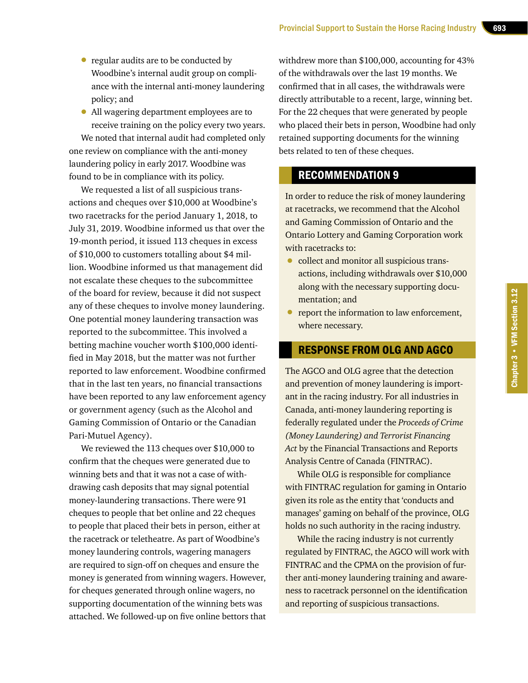- regular audits are to be conducted by Woodbine's internal audit group on compliance with the internal anti-money laundering policy; and
- All wagering department employees are to receive training on the policy every two years.

We noted that internal audit had completed only one review on compliance with the anti-money laundering policy in early 2017. Woodbine was found to be in compliance with its policy.

We requested a list of all suspicious transactions and cheques over \$10,000 at Woodbine's two racetracks for the period January 1, 2018, to July 31, 2019. Woodbine informed us that over the 19-month period, it issued 113 cheques in excess of \$10,000 to customers totalling about \$4 million. Woodbine informed us that management did not escalate these cheques to the subcommittee of the board for review, because it did not suspect any of these cheques to involve money laundering. One potential money laundering transaction was reported to the subcommittee. This involved a betting machine voucher worth \$100,000 identified in May 2018, but the matter was not further reported to law enforcement. Woodbine confirmed that in the last ten years, no financial transactions have been reported to any law enforcement agency or government agency (such as the Alcohol and Gaming Commission of Ontario or the Canadian Pari-Mutuel Agency).

We reviewed the 113 cheques over \$10,000 to confirm that the cheques were generated due to winning bets and that it was not a case of withdrawing cash deposits that may signal potential money-laundering transactions. There were 91 cheques to people that bet online and 22 cheques to people that placed their bets in person, either at the racetrack or teletheatre. As part of Woodbine's money laundering controls, wagering managers are required to sign-off on cheques and ensure the money is generated from winning wagers. However, for cheques generated through online wagers, no supporting documentation of the winning bets was attached. We followed-up on five online bettors that withdrew more than \$100,000, accounting for 43% of the withdrawals over the last 19 months. We confirmed that in all cases, the withdrawals were directly attributable to a recent, large, winning bet. For the 22 cheques that were generated by people who placed their bets in person, Woodbine had only retained supporting documents for the winning bets related to ten of these cheques.

### RECOMMENDATION 9

In order to reduce the risk of money laundering at racetracks, we recommend that the Alcohol and Gaming Commission of Ontario and the Ontario Lottery and Gaming Corporation work with racetracks to:

- collect and monitor all suspicious transactions, including withdrawals over \$10,000 along with the necessary supporting documentation; and
- report the information to law enforcement, where necessary.

### RESPONSE FROM OLG AND AGCO

The AGCO and OLG agree that the detection and prevention of money laundering is important in the racing industry. For all industries in Canada, anti-money laundering reporting is federally regulated under the *Proceeds of Crime (Money Laundering) and Terrorist Financing Act* by the Financial Transactions and Reports Analysis Centre of Canada (FINTRAC).

While OLG is responsible for compliance with FINTRAC regulation for gaming in Ontario given its role as the entity that 'conducts and manages' gaming on behalf of the province, OLG holds no such authority in the racing industry.

While the racing industry is not currently regulated by FINTRAC, the AGCO will work with FINTRAC and the CPMA on the provision of further anti-money laundering training and awareness to racetrack personnel on the identification and reporting of suspicious transactions.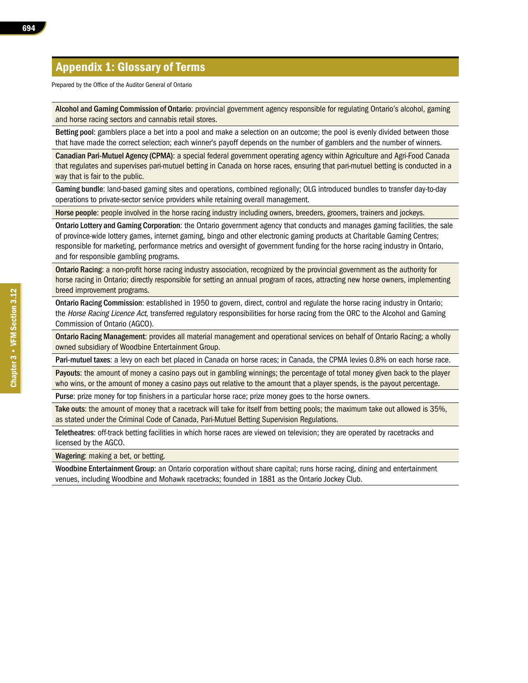### Appendix 1: Glossary of Terms

Prepared by the Office of the Auditor General of Ontario

Alcohol and Gaming Commission of Ontario: provincial government agency responsible for regulating Ontario's alcohol, gaming and horse racing sectors and cannabis retail stores.

Betting pool: gamblers place a bet into a pool and make a selection on an outcome; the pool is evenly divided between those that have made the correct selection; each winner's payoff depends on the number of gamblers and the number of winners.

Canadian Pari-Mutuel Agency (CPMA): a special federal government operating agency within Agriculture and Agri-Food Canada that regulates and supervises pari-mutuel betting in Canada on horse races, ensuring that pari-mutuel betting is conducted in a way that is fair to the public.

Gaming bundle: land-based gaming sites and operations, combined regionally; OLG introduced bundles to transfer day-to-day operations to private-sector service providers while retaining overall management.

Horse people: people involved in the horse racing industry including owners, breeders, groomers, trainers and jockeys.

Ontario Lottery and Gaming Corporation: the Ontario government agency that conducts and manages gaming facilities, the sale of province-wide lottery games, internet gaming, bingo and other electronic gaming products at Charitable Gaming Centres; responsible for marketing, performance metrics and oversight of government funding for the horse racing industry in Ontario, and for responsible gambling programs.

Ontario Racing: a non-profit horse racing industry association, recognized by the provincial government as the authority for horse racing in Ontario; directly responsible for setting an annual program of races, attracting new horse owners, implementing breed improvement programs.

Ontario Racing Commission: established in 1950 to govern, direct, control and regulate the horse racing industry in Ontario; the Horse Racing Licence Act, transferred regulatory responsibilities for horse racing from the ORC to the Alcohol and Gaming Commission of Ontario (AGCO).

Ontario Racing Management: provides all material management and operational services on behalf of Ontario Racing; a wholly owned subsidiary of Woodbine Entertainment Group.

Pari-mutuel taxes: a levy on each bet placed in Canada on horse races; in Canada, the CPMA levies 0.8% on each horse race.

Payouts: the amount of money a casino pays out in gambling winnings; the percentage of total money given back to the player who wins, or the amount of money a casino pays out relative to the amount that a player spends, is the payout percentage.

Purse: prize money for top finishers in a particular horse race; prize money goes to the horse owners.

Take outs: the amount of money that a racetrack will take for itself from betting pools; the maximum take out allowed is 35%, as stated under the Criminal Code of Canada, Pari-Mutuel Betting Supervision Regulations.

Teletheatres: off-track betting facilities in which horse races are viewed on television; they are operated by racetracks and licensed by the AGCO.

Wagering: making a bet, or betting.

Woodbine Entertainment Group: an Ontario corporation without share capital; runs horse racing, dining and entertainment venues, including Woodbine and Mohawk racetracks; founded in 1881 as the Ontario Jockey Club.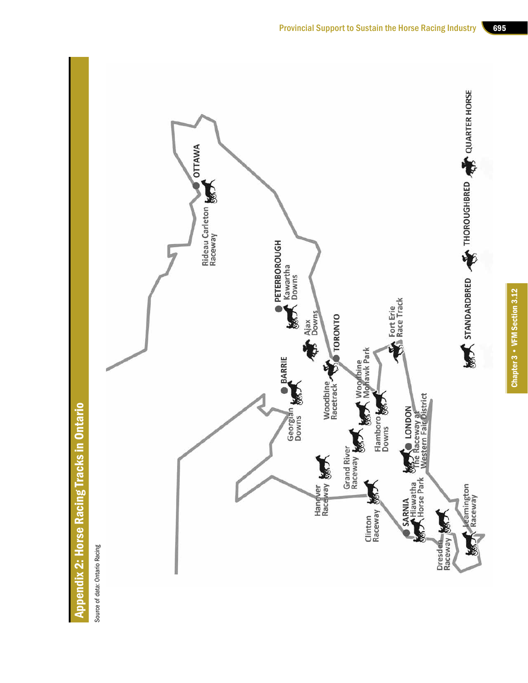



Source of data: Ontario Racing Source of data: Ontario Racing

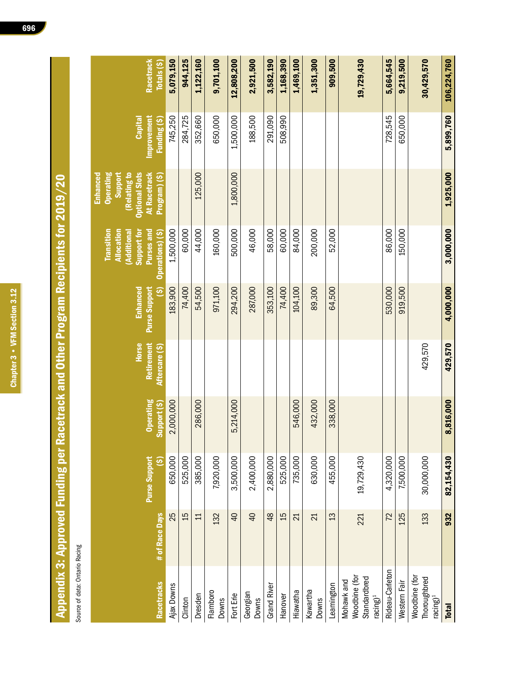Chapter 3 • VFM Section 3.12 Chapter 3 • VFM Section 3.12

# Appendix 3: Approved Funding per Racetrack and Other Program Recipients for 2019/20 Appendix 3: Approved Funding per Racetrack and Other Program Recipients for 2019/20

Source of data: Ontario Racing Source of data: Ontario Racing

| Racetrack<br>Totals(5)                                                                                            | 5,079,150  | 944,125 | 1,122,160    | 9,701,100                | 12,808,200      | 2,921,500                | 3,582,190          | 1,168,390 | 1,469,100 | 1,351,300         | 909,500    | 19,729,430                                                 | 5,664,545       | 9,219,500    | 30,429,570                                            | 106,224,760  |
|-------------------------------------------------------------------------------------------------------------------|------------|---------|--------------|--------------------------|-----------------|--------------------------|--------------------|-----------|-----------|-------------------|------------|------------------------------------------------------------|-----------------|--------------|-------------------------------------------------------|--------------|
| Funding (\$)<br>Capital                                                                                           | 745,250    | 284,725 | 352,660      | 650,000                  | 1,500,000       | 188,500                  | 291,090            | 508,990   |           |                   |            |                                                            | 728,545         | 650,000      |                                                       | 5,899,760    |
| Improvement                                                                                                       |            |         |              |                          |                 |                          |                    |           |           |                   |            |                                                            |                 |              |                                                       |              |
| <b>Operating</b><br><b>Optional Slots</b><br>At Racetrack<br>Enhanced<br>Support<br>(Relating to<br>Program) (\$) |            |         | 125,000      |                          | 1,800,000       |                          |                    |           |           |                   |            |                                                            |                 |              |                                                       | 1,925,000    |
| <b>Transition</b><br><b>Allocation</b><br><b>Purses and</b><br>Operations) (\$)<br>Support for<br>Additiona       | 1,500,000  | 60,000  | 44,000       | 160,000                  | 500,000         | 46,000                   | 58,000             | 60,000    | 84,000    | 200,000           | 52,000     |                                                            | 86,000          | 150,000      |                                                       | 3,000,000    |
| 6<br>Enhanced<br>Purse Support                                                                                    | 183,900    | 74,400  | 54,500       | 971,100                  | 294,200         | 287,000                  | 353,100            | 74,400    | 104,100   | 89,300            | 64,500     |                                                            | 530,000         | 919,500      |                                                       | 4,000,000    |
| Horse<br>Retirement<br>Aftercare (\$)                                                                             |            |         |              |                          |                 |                          |                    |           |           |                   |            |                                                            |                 |              | 429,570                                               | 429,570      |
| <b>Operating</b><br>Support (S)                                                                                   | 2,000,000  |         | 286,000      |                          | 5,214,000       |                          |                    |           | 546,000   | 432,000           | 338,000    |                                                            |                 |              |                                                       | 8,816,000    |
| Purse Support<br><u>ය</u>                                                                                         | 650,000    | 525,000 | 385,000      | 7,920,000                | 3,500,000       | 2,400,000                | 2,880,000          | 525,000   | 735,000   | 630,000           | 455,000    | 19,729,430                                                 | 4,320,000       | 7,500,000    | 30,000,000                                            | 82,154,430   |
| # of Race Days                                                                                                    | 25         | 15      | $\mathbf{1}$ | 132                      | $\overline{40}$ | $\overline{a}$           | $\frac{8}{3}$      | 15        | 21        | $\overline{21}$   | 13         | 221                                                        | 72              | 125          | 133                                                   | 932          |
| Racetracks                                                                                                        | Ajax Downs | Clinton | Dresden      | Flamboro<br><b>Downs</b> | Fort Erie       | Georgian<br><b>Downs</b> | <b>Grand River</b> | Hanover   | Hiawatha  | Kawartha<br>Downs | Leamington | Woodbine (for<br>Standardbred<br>Mohawk and<br>$racing)^1$ | Rideau-Carleton | Western Fair | Woodbine (for<br>Thoroughbred<br>racing) <sup>1</sup> | <b>Total</b> |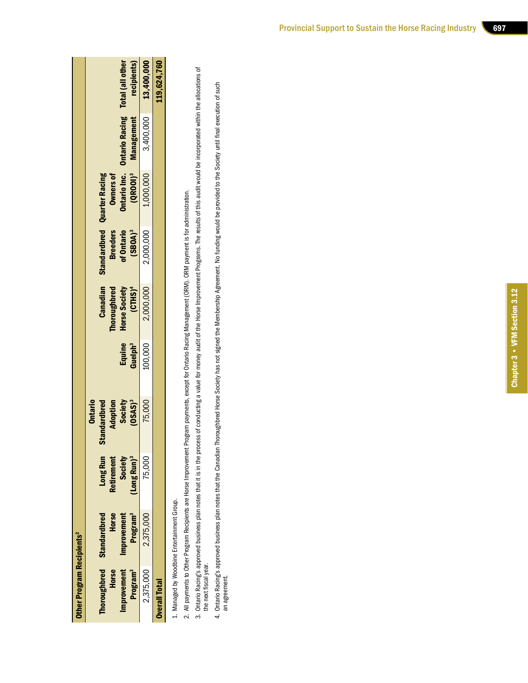| Program <sup>3</sup><br><b>Standardbred</b><br>Horse<br>2,375,000<br>Improvement |                                             | <b>Ontario Inc.</b> Ontario Racing Total (all other<br>recipients)<br>(QROOI) <sup>3</sup> Management<br><b>Standardbred Quarter Racing</b><br>Owners of<br><b>Breeders</b><br>of Ontario<br>(SBOA) <sup>3</sup><br>Canadian<br>Thoroughbred<br>$(CHIS)^4$<br>Horse Society<br>Guelph <sup>3</sup><br>Equine<br><b>Ontario</b><br>Society<br>(OSAS) <sup>3</sup><br>Standardbred<br>Adoption<br>Long Run<br>Society<br>'Long Run) <sup>3</sup><br><b>Retirement</b> | 3,400,000 13,400,000<br>1,000,000<br>2,000,000<br>2,000,000<br>100,000<br>75,000<br>75,000 | 119,624,760 |
|----------------------------------------------------------------------------------|---------------------------------------------|---------------------------------------------------------------------------------------------------------------------------------------------------------------------------------------------------------------------------------------------------------------------------------------------------------------------------------------------------------------------------------------------------------------------------------------------------------------------|--------------------------------------------------------------------------------------------|-------------|
|                                                                                  |                                             |                                                                                                                                                                                                                                                                                                                                                                                                                                                                     |                                                                                            |             |
| <b>Overall Total</b>                                                             | <b>Other Program Recipients<sup>2</sup></b> | mprovement<br><b>Thoroughbred</b><br><b>Horse</b><br>Program <sup>3</sup>                                                                                                                                                                                                                                                                                                                                                                                           | 2,375,000                                                                                  |             |

1. Managed by Woodbine Entertainment Group. 1. Managed by Woodbine Entertainment Group.

- 2. All payments to Other Program Recipients are Horse Improvement Program payments, except for Ontario Racing Management (ORM). ORM payment is for administration. 2. All payments to Other Program Recipients are Horse Improvement Program payments, except for Ontario Racing Management (ORM). ORM payment is for administration.
- 3. Ontario Racing's approved business plan notes that it is in the process of conducting a value for money audit of the Horse Improvement Programs. The results of this audit would be incorporated within the allocations of 3. Ontario Racing's approved business plan notes that it is in the process of conducting a value for money audit of the Horse Improvement Programs. The results of this audit would be incorporated within the allocations of the next fiscal year. the next fiscal year.
	- 4. Ontario Racing's approved business plan notes that the Canadian Thoroughbred Horse Society has not signed the Membership Agreement. No funding would be provided to the Society until final execution of such<br>an agreement 4. Ontario Racing's approved business plan notes that the Canadian Thoroughbred Horse Society has not signed the Membership Agreement. No funding would be provided to the Society until final execution of such an agreement.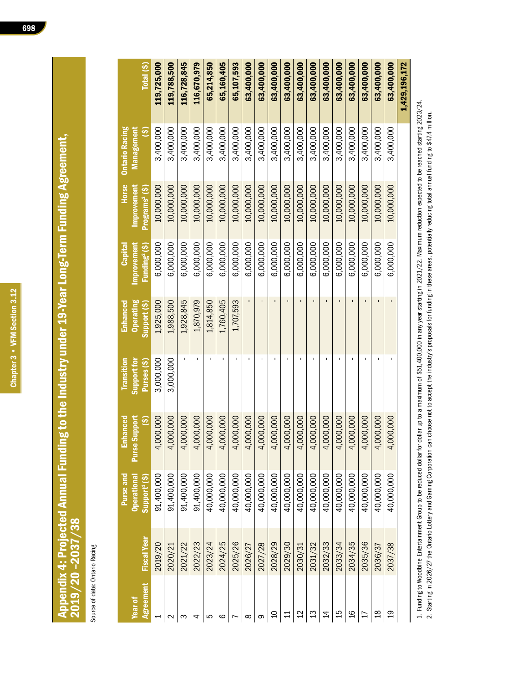## Appendix 4: Projected Annual Funding to the Industry under 19-Year Long-Term Funding Agreement,<br>2019/20 -2037/38 Appendix 4: Projected Annual Funding to the Industry under 19-Year Long-Term Funding Agreement, 2019/20 –2037/38

Source of data: Ontario Racing Source of data: Ontario Racing

| Total (\$)                                                       | 119,725,000 | 119,788,500        | 116,728,845   | 116,670,979 | 65,214,850    | 65,160,405    | 65,107,593 | 63,400,000 | 63,400,000    | 63,400,000    | 63,400,000    | 63,400,000     | 63,400,000    | 63,400,000    | 63,400,000    | 63,400,000    | 63,400,000 | 63,400,000     | 63,400,000     | 1,429,196,172 |
|------------------------------------------------------------------|-------------|--------------------|---------------|-------------|---------------|---------------|------------|------------|---------------|---------------|---------------|----------------|---------------|---------------|---------------|---------------|------------|----------------|----------------|---------------|
|                                                                  |             |                    |               |             |               |               |            |            |               |               |               |                |               |               |               |               |            |                |                |               |
| <b>Ontario Racing</b><br>Management<br>$\widetilde{\mathcal{S}}$ | 3,400,000   | 3,400,000          | 3,400,000     | 3,400,000   | 3,400,000     | 3,400,000     | 3,400,000  | 3,400,000  | 3,400,000     | 3,400,000     | 3,400,000     | 3,400,000      | 3,400,000     | 3,400,000     | 3,400,000     | 3,400,000     | 3,400,000  | 3,400,000      | 3,400,000      |               |
| Horse<br><b>Improvement</b><br>Programs <sup>2</sup> (\$)        | 10,000,000  | 10,000,000         | 10,000,000    | 10,000,000  | 10,000,000    | 10,000,000    | 10,000,000 | 10,000,000 | 10,000,000    | 10,000,000    | 10,000,000    | 10,000,000     | 10,000,000    | 10,000,000    | 10,000,000    | 10,000,000    | 10,000,000 | 10,000,000     | 10,000,000     |               |
| improvement<br>Funding <sup>2</sup> (\$)<br>Capital              | 6,000,000   | 6,000,000          | 6,000,000     | 6,000,000   | 6,000,000     | 6,000,000     | 6,000,000  | 6,000,000  | 6,000,000     | 6,000,000     | 6,000,000     | 6,000,000      | 6,000,000     | 6,000,000     | 6,000,000     | 6,000,000     | 6,000,000  | 6,000,000      | 6,000,000      |               |
| <b>Operating</b><br><b>Enhanced</b><br>Support (\$)              | 1,925,000   | 1,988,500          | 1,928,845     | 1,870,979   | 1,814,850     | 1,760,405     | 1,707,593  |            |               |               |               |                |               |               |               |               |            |                |                |               |
| Transition<br>Support for<br>Purses (\$)                         | 3,000,000   | 3,000,000          |               |             |               |               |            |            |               |               |               |                |               |               |               |               |            |                |                |               |
| Purse Support<br>$\overline{\mathcal{S}}$<br><b>Enhanced</b>     | 4,000,000   | 4,000,000          | ,000,000<br>4 | 4,000,000   | ,000,000<br>4 | ,000,000<br>4 | 4,000,000  | 4,000,000  | ,000,000<br>4 | ,000,000<br>4 | ,000,000<br>4 | ,000,000<br>4  | ,000,000<br>4 | ,000,000<br>4 | ,000,000<br>4 | ,000,000<br>4 | 4,000,000  | ,000,000<br>4  | ,000,000<br>4  |               |
| <b>Operational</b><br>Purse and<br>Support <sup>1</sup> (\$)     | 91,400,000  | 91,400,000         | 91,400,000    | 91,400,000  | 40,000,000    | 40,000,000    | 40,000,000 | 40,000,000 | 40,000,000    | 40,000,000    | 40,000,000    | 40,000,000     | 40,000,000    | 40,000,000    | 40,000,000    | 40,000,000    | 40,000,000 | 40,000,000     | 40,000,000     |               |
| <b>Fiscal Year</b>                                               | 2019/20     | 2020/21            | 2021/22       | 2022/23     | 2023/24       | 2024/25       | 2025/26    | 2026/27    | 2027/28       | 2028/29       | 2029/30       | 2030/31        | 2031/32       | 2032/33       | 2033/34       | 2034/35       | 2035/36    | 2036/37        | 2037/38        |               |
| <b>Agreement</b><br><b>Year of</b>                               |             | $\scriptstyle\sim$ | S             | 4           | ပ             | ဖ             |            | ∞          | တ             | $\Omega$      |               | $\overline{2}$ | 13            | $\sharp$      | 15            | 91            |            | $\frac{8}{10}$ | $\overline{c}$ |               |

1. Funding to Woodbine Entertainment Group to be reduced dollar for dollar up to a maximum of \$51,400,000 in any year starting in 2021/22. Maximum reduction expected to be reached starting 2023/24. 1. Funding to Woodbine Entertainment Group to be reduced dollar for dollar up to a maximum of \$51,400,000 in any year starting in 2021/22. Maximum reduction expected to be reached starting 2023/24. 2. Starting in 2026/27 the Ontario Lottery and Gaming Corporation can choose not to accept the industry's proposals for funding in these areas, potentially reducing total annual funding to \$47.4 million. 2. Starting in 2026/27 the Ontario Lottery and Gaming Corporation can choose not to accept the industry's proposals for funding in these areas, potentially reducing total annual funding to \$47.4 million.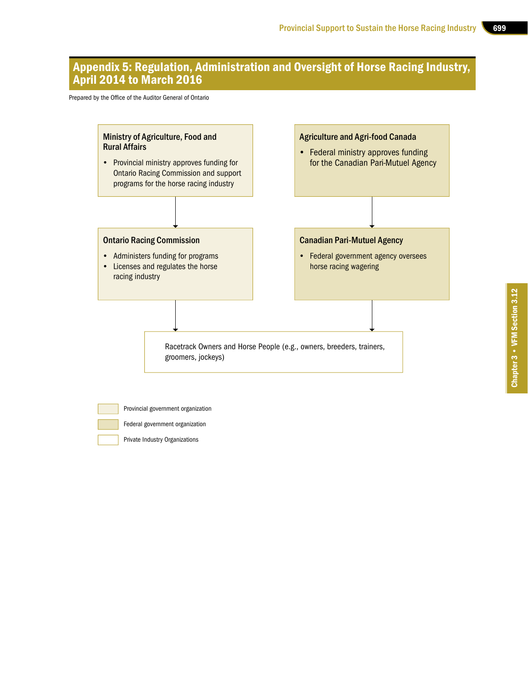### Appendix 5: Regulation, Administration and Oversight of Horse Racing Industry, April 2014 to March 2016

Prepared by the Office of the Auditor General of Ontario



- Provincial government organization
- Federal government organization
- Private Industry Organizations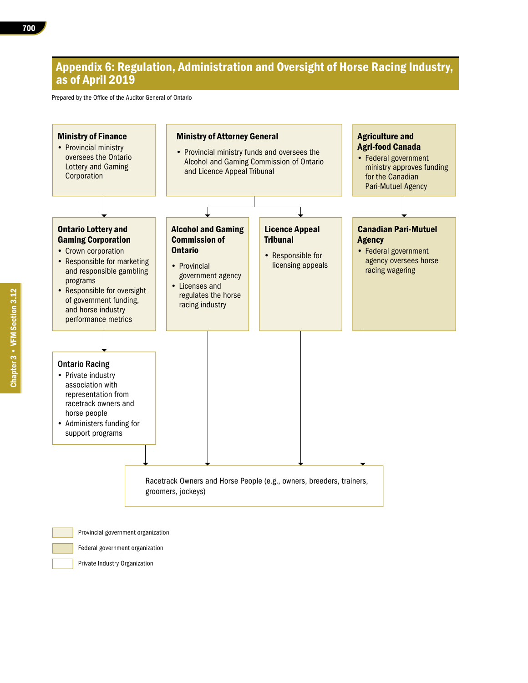### Appendix 6: Regulation, Administration and Oversight of Horse Racing Industry, as of April 2019

Prepared by the Office of the Auditor General of Ontario



Federal government organization

Private Industry Organization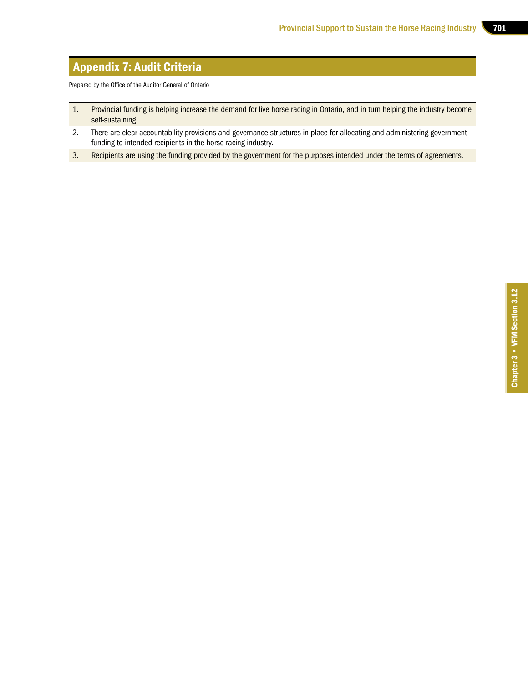### Appendix 7: Audit Criteria

Prepared by the Office of the Auditor General of Ontario

- 1. Provincial funding is helping increase the demand for live horse racing in Ontario, and in turn helping the industry become self-sustaining.
- 2. There are clear accountability provisions and governance structures in place for allocating and administering government funding to intended recipients in the horse racing industry.
- 3. Recipients are using the funding provided by the government for the purposes intended under the terms of agreements.